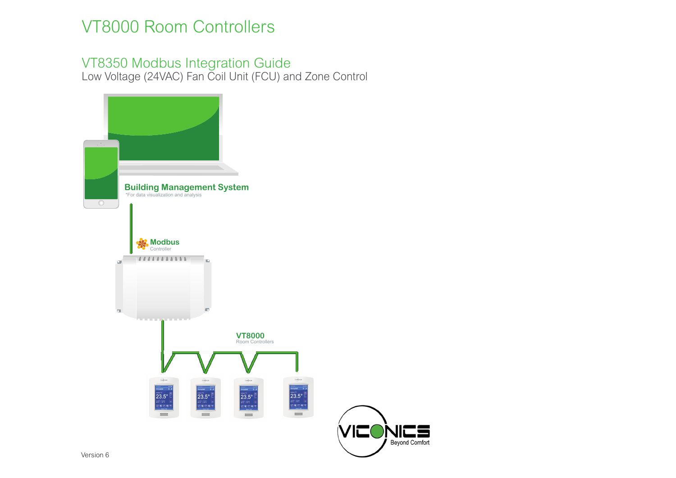

## VT8000 Room Controllers

## VT8350 Modbus Integration Guide Low Voltage (24VAC) Fan Coil Unit (FCU) and Zone Control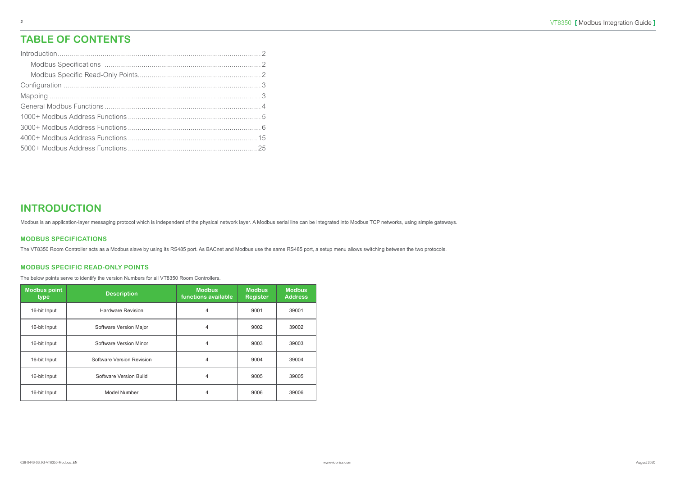### **INTRODUCTION**

Modbus is an application-layer messaging protocol which is independent of the physical network layer. A Modbus serial line can be integrated into Modbus TCP networks, using simple gateways.

#### **MODBUS SPECIFICATIONS**

The VT8350 Room Controller acts as a Modbus slave by using its RS485 port. As BACnet and Modbus use the same RS485 port, a setup menu allows switching between the two protocols.

#### **MODBUS SPECIFIC READ-ONLY POINTS**

The below points serve to identify the version Numbers for all VT8350 Room Controllers.

| <b>Modbus point</b><br>type | <b>Description</b>        | <b>Modbus</b><br>functions available | <b>Modbus</b><br><b>Register</b> | <b>Modbus</b><br><b>Address</b> |
|-----------------------------|---------------------------|--------------------------------------|----------------------------------|---------------------------------|
| 16-bit Input                | <b>Hardware Revision</b>  | 4                                    | 9001                             | 39001                           |
| 16-bit Input                | Software Version Major    | 4                                    | 9002                             | 39002                           |
| 16-bit Input                | Software Version Minor    | 4                                    | 9003                             | 39003                           |
| 16-bit Input                | Software Version Revision | 4                                    | 9004                             | 39004                           |
| 16-bit Input                | Software Version Build    | 4                                    | 9005                             | 39005                           |
| 16-bit Input                | Model Number              | 4                                    | 9006                             | 39006                           |

### **TABLE OF CONTENTS**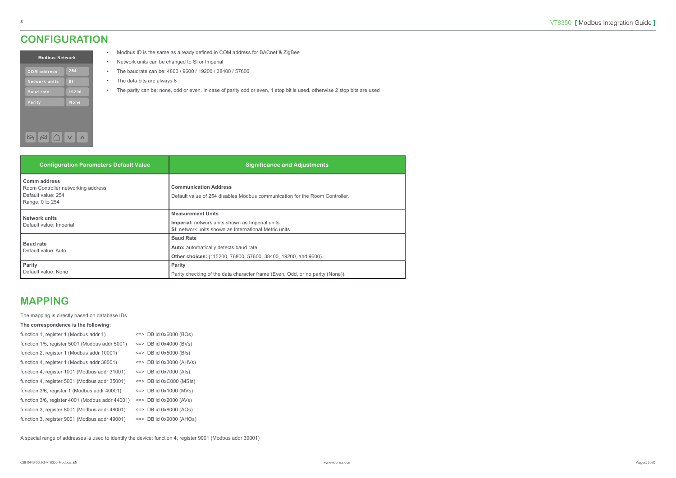#### <span id="page-2-0"></span>**CONFIGURATION**

| <b>Modbus Network</b> |                |  |  |  |  |  |  |  |  |
|-----------------------|----------------|--|--|--|--|--|--|--|--|
| <b>COM</b> address    | 254            |  |  |  |  |  |  |  |  |
| <b>Network units</b>  | s <sub>1</sub> |  |  |  |  |  |  |  |  |
| <b>Baud rate</b>      | 19200          |  |  |  |  |  |  |  |  |
| Parity                | None           |  |  |  |  |  |  |  |  |
|                       |                |  |  |  |  |  |  |  |  |
|                       |                |  |  |  |  |  |  |  |  |
|                       |                |  |  |  |  |  |  |  |  |

- Modbus ID is the same as already defined in COM address for BACnet & ZigBee
- Network units can be changed to SI or Imperial
- The baudrate can be: 4800 / 9600 / 19200 / 38400 / 57600
- The data bits are always 8
- The parity can be: none, odd or even. In case of parity odd or even, 1 stop bit is used, otherwise 2 stop bits are used

| <b>Configuration Parameters Default Value</b>                                                      | <b>Significance and Adjustments</b>                                                                                                           |
|----------------------------------------------------------------------------------------------------|-----------------------------------------------------------------------------------------------------------------------------------------------|
| <b>Comm address</b><br>Room Controller networking address<br>Default value: 254<br>Range: 0 to 254 | <b>Communication Address</b><br>Default value of 254 disables Modbus communication for the Room Controller.                                   |
| <b>Network units</b><br>Default value: Imperial                                                    | <b>Measurement Units</b><br><b>Imperial:</b> network units shown as Imperial units.<br>SI: network units shown as International Metric units. |
| <b>Baud rate</b><br>Default value: Auto                                                            | <b>Baud Rate</b><br>Auto: automatically detects baud rate.<br>Other choices: (115200, 76800, 57600, 38400, 19200, and 9600).                  |
| Parity<br>Default value: None                                                                      | <b>Parity</b><br>Parity checking of the data character frame (Even, Odd, or no parity (None)).                                                |

#### **MAPPING**

The mapping is directly based on database IDs.

#### **The correspondence is the following:**

| function 1, register 1 (Modbus addr 1)          | $\leq$ => DB id 0x6000 (BOs) |
|-------------------------------------------------|------------------------------|
| function 1/5, register 5001 (Modbus addr 5001)  | $\leq$ => DB id 0x4000 (BVs) |
| function 2, register 1 (Modbus addr 10001)      | $\le$ => DB id 0x5000 (Bls)  |
| function 4, register 1 (Modbus addr 30001)      | $\le$ => DB id 0x3000 (AHVs) |
| function 4, register 1001 (Modbus addr 31001)   | $\leq$ DB id 0x7000 (Als)    |
| function 4, register 5001 (Modbus addr 35001)   | $\le$ => DB id 0xC000 (MSIs) |
| function 3/6, register 1 (Modbus addr 40001)    | $\le$ => DB id 0x1000 (MVs)  |
| function 3/6, register 4001 (Modbus addr 44001) | $\leq$ => DB id 0x2000 (AVs) |
| function 3, register 8001 (Modbus addr 48001)   | $\leq$ DB id 0x8000 (AOs)    |
| function 3, register 9001 (Modbus addr 49001)   | $\le$ => DB id 0x9000 (AHOs) |
|                                                 |                              |

A special range of addresses is used to identify the device: function 4, register 9001 (Modbus addr 39001)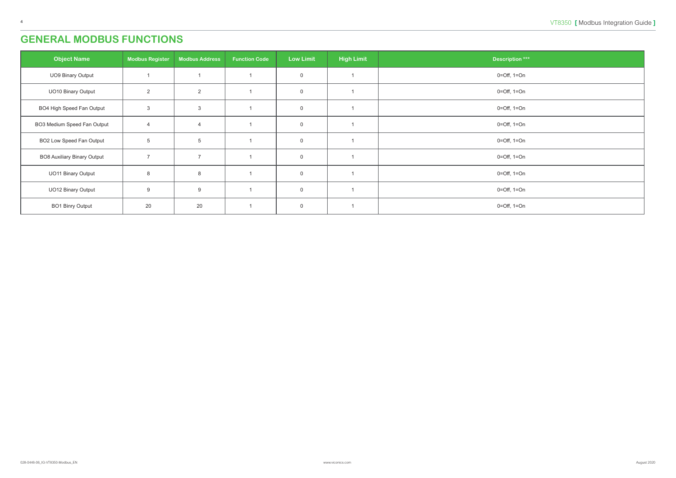## <span id="page-3-0"></span>**GENERAL MODBUS FUNCTIONS**

| <b>Object Name</b>                 | <b>Modbus Register</b> | <b>Modbus Address</b> | <b>Function Code</b> | <b>Low Limit</b> | <b>High Limit</b> | <b>Description ***</b> |
|------------------------------------|------------------------|-----------------------|----------------------|------------------|-------------------|------------------------|
| UO9 Binary Output                  |                        |                       |                      | $\mathsf 0$      |                   | $0=Off$ , $1=On$       |
| <b>UO10 Binary Output</b>          | $\overline{2}$         | $\overline{2}$        |                      | $\mathbf 0$      |                   | $0=Off$ , $1=On$       |
| BO4 High Speed Fan Output          | $\mathbf{3}$           | $\mathbf{3}$          |                      | $\mathsf 0$      |                   | $0=Off$ , $1=On$       |
| BO3 Medium Speed Fan Output        | $\overline{4}$         | $\overline{4}$        |                      | $\overline{0}$   |                   | $0=Off$ , $1=On$       |
| <b>BO2 Low Speed Fan Output</b>    | $5\phantom{.0}$        | $\overline{5}$        |                      | $\mathbf 0$      |                   | $0=Off$ , $1=On$       |
| <b>BO8 Auxiliary Binary Output</b> | $\overline{7}$         | $\overline{7}$        |                      | $\mathbf 0$      |                   | $0=Off$ , $1=On$       |
| <b>UO11 Binary Output</b>          | 8                      | 8                     |                      | $\mathsf 0$      |                   | $0=Off$ , $1=On$       |
| <b>UO12 Binary Output</b>          | 9                      | 9                     |                      | $\mathsf 0$      |                   | $0=Off$ , $1=On$       |
| <b>BO1 Binry Output</b>            | 20                     | 20                    |                      | $\mathbf 0$      |                   | 0=Off, 1=On            |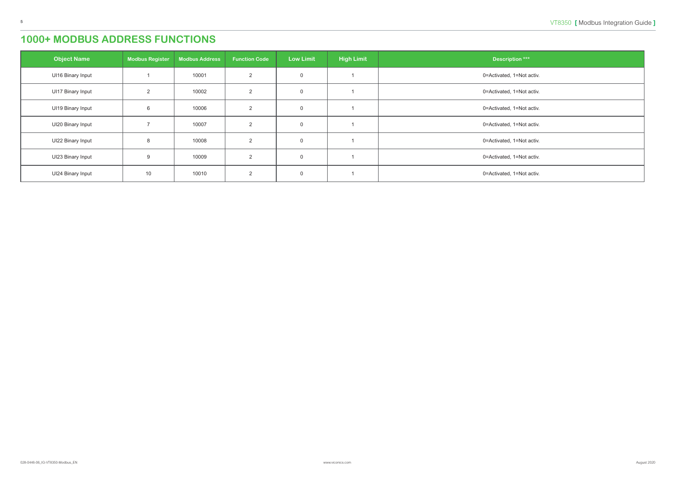<span id="page-4-0"></span>

| <b>Object Name</b>       | <b>Modbus Register</b> | <b>Modbus Address</b> | <b>Function Code</b> | <b>Low Limit</b> | <b>High Limit</b> | <b>Description ***</b>    |
|--------------------------|------------------------|-----------------------|----------------------|------------------|-------------------|---------------------------|
| <b>UI16 Binary Input</b> |                        | 10001                 | 2                    | $\overline{0}$   |                   | 0=Activated, 1=Not activ. |
| <b>UI17 Binary Input</b> | $\overline{2}$         | 10002                 | 2                    | $\overline{0}$   |                   | 0=Activated, 1=Not activ. |
| <b>UI19 Binary Input</b> | 6                      | 10006                 | 2                    | $\overline{0}$   |                   | 0=Activated, 1=Not activ. |
| UI20 Binary Input        |                        | 10007                 | 2                    | $\overline{0}$   |                   | 0=Activated, 1=Not activ. |
| UI22 Binary Input        | 8                      | 10008                 | 2                    | $\overline{0}$   |                   | 0=Activated, 1=Not activ. |
| UI23 Binary Input        | 9                      | 10009                 | $\mathcal{P}$        | $\mathbf{0}$     |                   | 0=Activated, 1=Not activ. |
| UI24 Binary Input        | 10                     | 10010                 | 2                    | $\overline{0}$   |                   | 0=Activated, 1=Not activ. |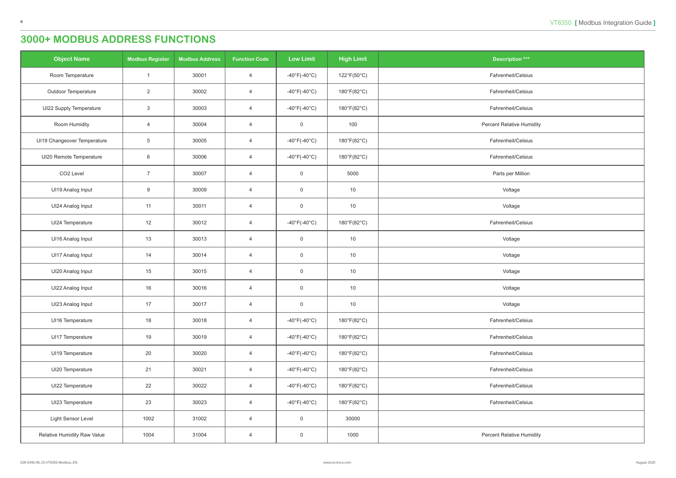<span id="page-5-0"></span>

| <b>Object Name</b>          | <b>Modbus Register</b> | <b>Modbus Address</b> | <b>Function Code</b> | <b>Low Limit</b>                  | <b>High Limit</b> | <b>Description ***</b>           |
|-----------------------------|------------------------|-----------------------|----------------------|-----------------------------------|-------------------|----------------------------------|
| Room Temperature            | $\overline{1}$         | 30001                 | $\overline{4}$       | -40°F(-40°C)                      | 122°F(50°C)       | Fahrenheit/Celsius               |
| <b>Outdoor Temperature</b>  | $\overline{2}$         | 30002                 | $\overline{4}$       | $-40^{\circ}F(-40^{\circ}C)$      | 180°F(82°C)       | Fahrenheit/Celsius               |
| UI22 Supply Temperature     | $\mathbf{3}$           | 30003                 | $\overline{4}$       | -40°F(-40°C)                      | 180°F(82°C)       | Fahrenheit/Celsius               |
| Room Humidity               | $\overline{4}$         | 30004                 | $\overline{4}$       | $\overline{0}$                    | 100               | <b>Percent Relative Humidity</b> |
| UI19 Changeover Temperature | $\overline{5}$         | 30005                 | $\overline{4}$       | $-40^{\circ}$ F( $-40^{\circ}$ C) | 180°F(82°C)       | Fahrenheit/Celsius               |
| UI20 Remote Temperature     | 6                      | 30006                 | $\overline{4}$       | $-40^{\circ}F(-40^{\circ}C)$      | 180°F(82°C)       | Fahrenheit/Celsius               |
| CO <sub>2</sub> Level       | $\overline{7}$         | 30007                 | $\overline{4}$       | $\overline{0}$                    | 5000              | Parts per Million                |
| UI19 Analog Input           | 9                      | 30009                 | $\overline{4}$       | $\overline{0}$                    | 10                | Voltage                          |
| UI24 Analog Input           | 11                     | 30011                 | $\overline{4}$       | $\overline{0}$                    | 10                | Voltage                          |
| UI24 Temperature            | 12                     | 30012                 | $\overline{4}$       | $-40^{\circ}$ F( $-40^{\circ}$ C) | 180°F(82°C)       | Fahrenheit/Celsius               |
| UI16 Analog Input           | 13                     | 30013                 | $\overline{4}$       | $\overline{0}$                    | 10                | Voltage                          |
| UI17 Analog Input           | 14                     | 30014                 | $\overline{4}$       | $\overline{0}$                    | 10                | Voltage                          |
| UI20 Analog Input           | 15                     | 30015                 | $\overline{4}$       | $\overline{0}$                    | 10                | Voltage                          |
| UI22 Analog Input           | 16                     | 30016                 | $\overline{4}$       | $\overline{0}$                    | 10                | Voltage                          |
| UI23 Analog Input           | 17                     | 30017                 | $\overline{4}$       | $\overline{0}$                    | 10                | Voltage                          |
| UI16 Temperature            | 18                     | 30018                 | $\overline{4}$       | -40°F(-40°C)                      | 180°F(82°C)       | Fahrenheit/Celsius               |
| UI17 Temperature            | 19                     | 30019                 | $\overline{4}$       | -40°F(-40°C)                      | 180°F(82°C)       | Fahrenheit/Celsius               |
| UI19 Temperature            | 20                     | 30020                 | $\overline{4}$       | -40°F(-40°C)                      | 180°F(82°C)       | Fahrenheit/Celsius               |
| UI20 Temperature            | 21                     | 30021                 | $\overline{4}$       | -40°F(-40°C)                      | 180°F(82°C)       | Fahrenheit/Celsius               |
| UI22 Temperature            | 22                     | 30022                 | $\overline{4}$       | -40°F(-40°C)                      | 180°F(82°C)       | Fahrenheit/Celsius               |
| UI23 Temperature            | 23                     | 30023                 | $\overline{4}$       | -40°F(-40°C)                      | 180°F(82°C)       | Fahrenheit/Celsius               |
| Light Sensor Level          | 1002                   | 31002                 | $\overline{4}$       | $\overline{0}$                    | 30000             |                                  |
| Relative Humidity Raw Value | 1004                   | 31004                 | $\overline{4}$       | $\overline{0}$                    | 1000              | <b>Percent Relative Humidity</b> |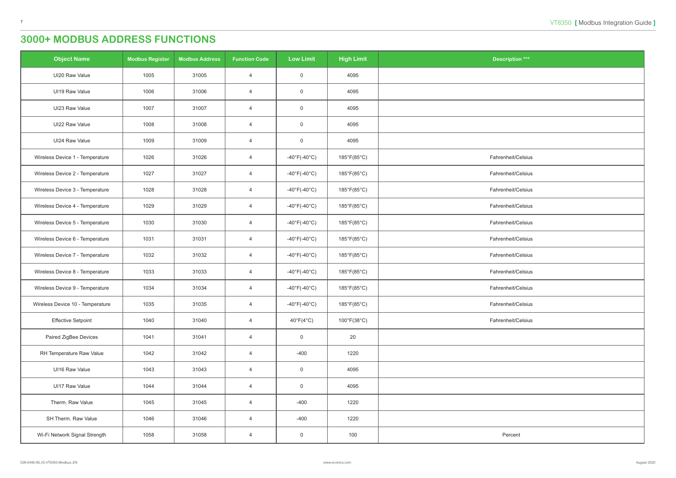| <b>Object Name</b>               | <b>Modbus Register</b> | <b>Modbus Address</b> | <b>Function Code</b> | <b>Low Limit</b>                  | <b>High Limit</b>                | <b>Description ***</b> |
|----------------------------------|------------------------|-----------------------|----------------------|-----------------------------------|----------------------------------|------------------------|
| UI20 Raw Value                   | 1005                   | 31005                 | $\overline{4}$       | $\overline{0}$                    | 4095                             |                        |
| UI19 Raw Value                   | 1006                   | 31006                 | $\overline{4}$       | $\mathbf 0$                       | 4095                             |                        |
| UI23 Raw Value                   | 1007                   | 31007                 | $\overline{4}$       | $\mathbf 0$                       | 4095                             |                        |
| UI22 Raw Value                   | 1008                   | 31008                 | $\overline{4}$       | $\overline{0}$                    | 4095                             |                        |
| UI24 Raw Value                   | 1009                   | 31009                 | $\overline{4}$       | $\overline{0}$                    | 4095                             |                        |
| Wireless Device 1 - Temperature  | 1026                   | 31026                 | $\overline{4}$       | $-40^{\circ}$ F( $-40^{\circ}$ C) | 185°F(85°C)                      | Fahrenheit/Celsius     |
| Wireless Device 2 - Temperature  | 1027                   | 31027                 | $\overline{4}$       | $-40^{\circ}F(-40^{\circ}C)$      | 185°F(85°C)                      | Fahrenheit/Celsius     |
| Wireless Device 3 - Temperature  | 1028                   | 31028                 | $\overline{4}$       | $-40^{\circ}F(-40^{\circ}C)$      | 185°F(85°C)                      | Fahrenheit/Celsius     |
| Wireless Device 4 - Temperature  | 1029                   | 31029                 | $\overline{4}$       | $-40^{\circ}$ F( $-40^{\circ}$ C) | 185°F(85°C)                      | Fahrenheit/Celsius     |
| Wireless Device 5 - Temperature  | 1030                   | 31030                 | $\overline{4}$       | -40°F(-40°C)                      | 185°F(85°C)                      | Fahrenheit/Celsius     |
| Wireless Device 6 - Temperature  | 1031                   | 31031                 | $\overline{4}$       | $-40^{\circ}F(-40^{\circ}C)$      | 185°F(85°C)                      | Fahrenheit/Celsius     |
| Wireless Device 7 - Temperature  | 1032                   | 31032                 | $\overline{4}$       | $-40^{\circ}$ F(-40 $^{\circ}$ C) | 185°F(85°C)                      | Fahrenheit/Celsius     |
| Wireless Device 8 - Temperature  | 1033                   | 31033                 | $\overline{4}$       | $-40^{\circ}$ F( $-40^{\circ}$ C) | 185°F(85°C)                      | Fahrenheit/Celsius     |
| Wireless Device 9 - Temperature  | 1034                   | 31034                 | $\overline{4}$       | $-40^{\circ}$ F( $-40^{\circ}$ C) | 185°F(85°C)                      | Fahrenheit/Celsius     |
| Wireless Device 10 - Temperature | 1035                   | 31035                 | $\overline{4}$       | -40°F(-40°C)                      | $185^{\circ}F(85^{\circ}C)$      | Fahrenheit/Celsius     |
| <b>Effective Setpoint</b>        | 1040                   | 31040                 | $\overline{4}$       | $40^{\circ}F(4^{\circ}C)$         | $100^{\circ}$ F(38 $^{\circ}$ C) | Fahrenheit/Celsius     |
| Paired ZigBee Devices            | 1041                   | 31041                 | $\overline{4}$       | $\overline{0}$                    | 20                               |                        |
| RH Temperature Raw Value         | 1042                   | 31042                 | $\overline{4}$       | $-400$                            | 1220                             |                        |
| UI16 Raw Value                   | 1043                   | 31043                 | $\overline{4}$       | $\overline{0}$                    | 4095                             |                        |
| UI17 Raw Value                   | 1044                   | 31044                 | $\overline{4}$       | $\overline{0}$                    | 4095                             |                        |
| Therm. Raw Value                 | 1045                   | 31045                 | $\overline{4}$       | $-400$                            | 1220                             |                        |
| SH Therm. Raw Value              | 1046                   | 31046                 | $\overline{4}$       | $-400$                            | 1220                             |                        |
| Wi-Fi Network Signal Strength    | 1058                   | 31058                 | $\overline{4}$       | $\overline{0}$                    | 100                              | Percent                |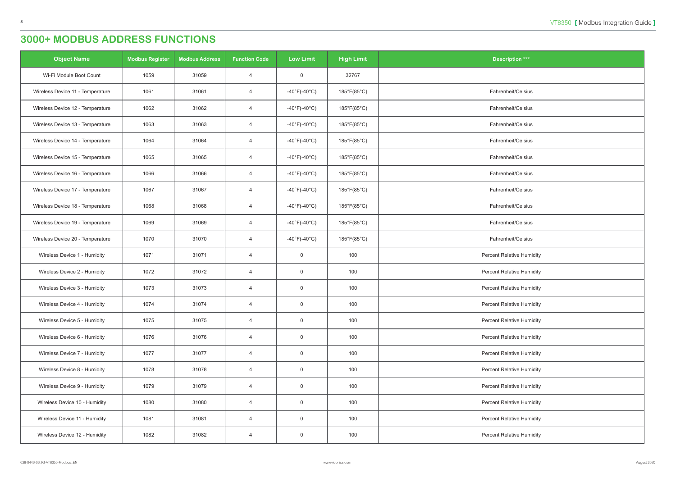| <b>Object Name</b>               | <b>Modbus Register</b> | <b>Modbus Address</b> | <b>Function Code</b> | <b>Low Limit</b>                  | <b>High Limit</b>           | <b>Description ***</b>           |
|----------------------------------|------------------------|-----------------------|----------------------|-----------------------------------|-----------------------------|----------------------------------|
| Wi-Fi Module Boot Count          | 1059                   | 31059                 | $\overline{4}$       | $\overline{0}$                    | 32767                       |                                  |
| Wireless Device 11 - Temperature | 1061                   | 31061                 | $\overline{4}$       | $-40^{\circ}$ F( $-40^{\circ}$ C) | 185°F(85°C)                 | Fahrenheit/Celsius               |
| Wireless Device 12 - Temperature | 1062                   | 31062                 | 4                    | -40°F(-40°C)                      | 185°F(85°C)                 | Fahrenheit/Celsius               |
| Wireless Device 13 - Temperature | 1063                   | 31063                 | $\overline{4}$       | $-40^{\circ}$ F( $-40^{\circ}$ C) | 185°F(85°C)                 | Fahrenheit/Celsius               |
| Wireless Device 14 - Temperature | 1064                   | 31064                 | $\overline{4}$       | $-40^{\circ}$ F(-40 $^{\circ}$ C) | 185°F(85°C)                 | Fahrenheit/Celsius               |
| Wireless Device 15 - Temperature | 1065                   | 31065                 | $\overline{4}$       | $-40^{\circ}$ F(-40 $^{\circ}$ C) | 185°F(85°C)                 | Fahrenheit/Celsius               |
| Wireless Device 16 - Temperature | 1066                   | 31066                 | $\overline{4}$       | $-40^{\circ}$ F( $-40^{\circ}$ C) | 185°F(85°C)                 | Fahrenheit/Celsius               |
| Wireless Device 17 - Temperature | 1067                   | 31067                 | $\overline{4}$       | -40°F(-40°C)                      | 185°F(85°C)                 | Fahrenheit/Celsius               |
| Wireless Device 18 - Temperature | 1068                   | 31068                 | $\overline{4}$       | $-40^{\circ}$ F( $-40^{\circ}$ C) | 185°F(85°C)                 | Fahrenheit/Celsius               |
| Wireless Device 19 - Temperature | 1069                   | 31069                 | $\overline{4}$       | $-40^{\circ}$ F(-40 $^{\circ}$ C) | $185^{\circ}F(85^{\circ}C)$ | Fahrenheit/Celsius               |
| Wireless Device 20 - Temperature | 1070                   | 31070                 | $\overline{4}$       | $-40^{\circ}$ F(-40 $^{\circ}$ C) | 185°F(85°C)                 | Fahrenheit/Celsius               |
| Wireless Device 1 - Humidity     | 1071                   | 31071                 | $\overline{4}$       | $\overline{0}$                    | 100                         | <b>Percent Relative Humidity</b> |
| Wireless Device 2 - Humidity     | 1072                   | 31072                 | $\overline{4}$       | $\overline{0}$                    | 100                         | Percent Relative Humidity        |
| Wireless Device 3 - Humidity     | 1073                   | 31073                 | $\overline{4}$       | $\overline{0}$                    | 100                         | <b>Percent Relative Humidity</b> |
| Wireless Device 4 - Humidity     | 1074                   | 31074                 | 4                    | $\overline{0}$                    | 100                         | <b>Percent Relative Humidity</b> |
| Wireless Device 5 - Humidity     | 1075                   | 31075                 | $\overline{4}$       | $\overline{0}$                    | 100                         | <b>Percent Relative Humidity</b> |
| Wireless Device 6 - Humidity     | 1076                   | 31076                 | $\overline{4}$       | $\overline{0}$                    | 100                         | <b>Percent Relative Humidity</b> |
| Wireless Device 7 - Humidity     | 1077                   | 31077                 | $\overline{4}$       | $\mathsf 0$                       | 100                         | <b>Percent Relative Humidity</b> |
| Wireless Device 8 - Humidity     | 1078                   | 31078                 | $\overline{4}$       | $\overline{0}$                    | 100                         | <b>Percent Relative Humidity</b> |
| Wireless Device 9 - Humidity     | 1079                   | 31079                 | $\overline{4}$       | $\overline{0}$                    | 100                         | <b>Percent Relative Humidity</b> |
| Wireless Device 10 - Humidity    | 1080                   | 31080                 | 4                    | $\mathsf 0$                       | 100                         | <b>Percent Relative Humidity</b> |
| Wireless Device 11 - Humidity    | 1081                   | 31081                 | $\overline{4}$       | $\overline{0}$                    | 100                         | <b>Percent Relative Humidity</b> |
| Wireless Device 12 - Humidity    | 1082                   | 31082                 | $\overline{4}$       | $\overline{0}$                    | 100                         | <b>Percent Relative Humidity</b> |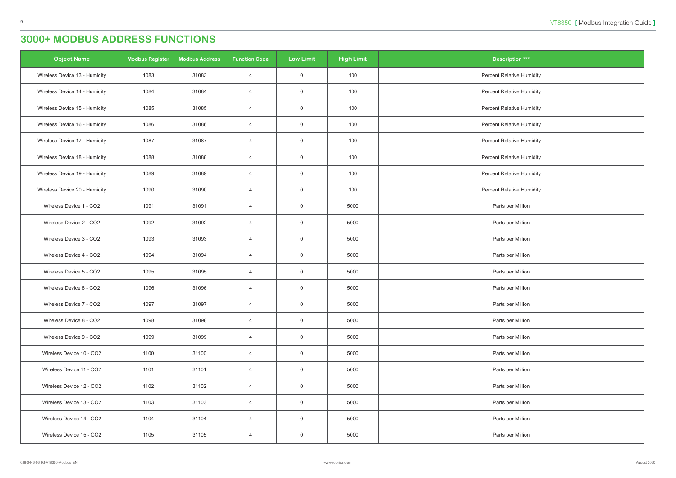| <b>Object Name</b>            | <b>Modbus Register</b> | <b>Modbus Address</b> | <b>Function Code</b> | <b>Low Limit</b> | <b>High Limit</b> | Description ***                  |
|-------------------------------|------------------------|-----------------------|----------------------|------------------|-------------------|----------------------------------|
| Wireless Device 13 - Humidity | 1083                   | 31083                 | $\overline{4}$       | $\overline{0}$   | 100               | <b>Percent Relative Humidity</b> |
| Wireless Device 14 - Humidity | 1084                   | 31084                 | $\overline{4}$       | $\overline{0}$   | 100               | <b>Percent Relative Humidity</b> |
| Wireless Device 15 - Humidity | 1085                   | 31085                 | $\overline{4}$       | $\overline{0}$   | 100               | <b>Percent Relative Humidity</b> |
| Wireless Device 16 - Humidity | 1086                   | 31086                 | $\overline{4}$       | $\overline{0}$   | 100               | <b>Percent Relative Humidity</b> |
| Wireless Device 17 - Humidity | 1087                   | 31087                 | $\overline{4}$       | $\mathsf 0$      | 100               | Percent Relative Humidity        |
| Wireless Device 18 - Humidity | 1088                   | 31088                 | $\overline{4}$       | $\overline{0}$   | 100               | <b>Percent Relative Humidity</b> |
| Wireless Device 19 - Humidity | 1089                   | 31089                 | $\overline{4}$       | $\mathsf 0$      | 100               | Percent Relative Humidity        |
| Wireless Device 20 - Humidity | 1090                   | 31090                 | $\overline{4}$       | $\overline{0}$   | 100               | <b>Percent Relative Humidity</b> |
| Wireless Device 1 - CO2       | 1091                   | 31091                 | $\overline{4}$       | $\overline{0}$   | 5000              | Parts per Million                |
| Wireless Device 2 - CO2       | 1092                   | 31092                 | $\overline{4}$       | $\overline{0}$   | 5000              | Parts per Million                |
| Wireless Device 3 - CO2       | 1093                   | 31093                 | $\overline{4}$       | $\mathbf 0$      | 5000              | Parts per Million                |
| Wireless Device 4 - CO2       | 1094                   | 31094                 | $\overline{4}$       | $\mathsf 0$      | 5000              | Parts per Million                |
| Wireless Device 5 - CO2       | 1095                   | 31095                 | $\overline{4}$       | $\overline{0}$   | 5000              | Parts per Million                |
| Wireless Device 6 - CO2       | 1096                   | 31096                 | $\overline{4}$       | $\overline{0}$   | 5000              | Parts per Million                |
| Wireless Device 7 - CO2       | 1097                   | 31097                 | $\overline{4}$       | $\overline{0}$   | 5000              | Parts per Million                |
| Wireless Device 8 - CO2       | 1098                   | 31098                 | $\overline{4}$       | $\overline{0}$   | 5000              | Parts per Million                |
| Wireless Device 9 - CO2       | 1099                   | 31099                 | $\overline{4}$       | $\mathsf 0$      | 5000              | Parts per Million                |
| Wireless Device 10 - CO2      | 1100                   | 31100                 | $\overline{4}$       | $\overline{0}$   | 5000              | Parts per Million                |
| Wireless Device 11 - CO2      | 1101                   | 31101                 | $\overline{4}$       | $\overline{0}$   | 5000              | Parts per Million                |
| Wireless Device 12 - CO2      | 1102                   | 31102                 | $\overline{4}$       | $\mathsf 0$      | 5000              | Parts per Million                |
| Wireless Device 13 - CO2      | 1103                   | 31103                 | $\overline{4}$       | $\mathsf 0$      | 5000              | Parts per Million                |
| Wireless Device 14 - CO2      | 1104                   | 31104                 | $\overline{4}$       | $\mathsf{O}$     | 5000              | Parts per Million                |
| Wireless Device 15 - CO2      | 1105                   | 31105                 | $\overline{4}$       | $\overline{0}$   | 5000              | Parts per Million                |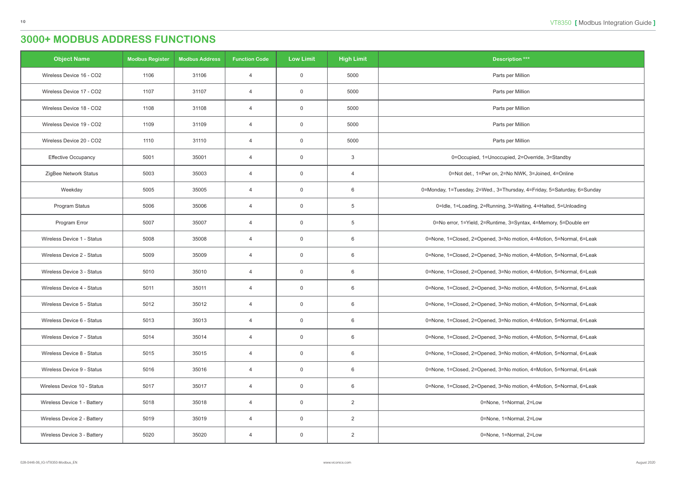| <b>Object Name</b>          | <b>Modbus Register</b> | <b>Modbus Address</b> | <b>Function Code</b> | <b>Low Limit</b> | <b>High Limit</b> | <b>Description ***</b>                                                  |
|-----------------------------|------------------------|-----------------------|----------------------|------------------|-------------------|-------------------------------------------------------------------------|
| Wireless Device 16 - CO2    | 1106                   | 31106                 | $\overline{4}$       | $\overline{0}$   | 5000              | Parts per Million                                                       |
| Wireless Device 17 - CO2    | 1107                   | 31107                 | $\overline{4}$       | $\overline{0}$   | 5000              | Parts per Million                                                       |
| Wireless Device 18 - CO2    | 1108                   | 31108                 | $\overline{4}$       | $\overline{0}$   | 5000              | Parts per Million                                                       |
| Wireless Device 19 - CO2    | 1109                   | 31109                 | $\overline{4}$       | $\overline{0}$   | 5000              | Parts per Million                                                       |
| Wireless Device 20 - CO2    | 1110                   | 31110                 | $\overline{4}$       | $\overline{0}$   | 5000              | Parts per Million                                                       |
| <b>Effective Occupancy</b>  | 5001                   | 35001                 | $\overline{4}$       | $\overline{0}$   | 3                 | 0=Occupied, 1=Unoccupied, 2=Override, 3=Standby                         |
| ZigBee Network Status       | 5003                   | 35003                 | $\overline{4}$       | $\overline{0}$   | $\overline{4}$    | 0=Not det., 1=Pwr on, 2=No NWK, 3=Joined, 4=Online                      |
| Weekday                     | 5005                   | 35005                 | $\overline{4}$       | $\overline{0}$   | 6                 | 0=Monday, 1=Tuesday, 2=Wed., 3=Thursday, 4=Friday, 5=Saturday, 6=Sunday |
| Program Status              | 5006                   | 35006                 | $\overline{4}$       | $\overline{0}$   | 5                 | 0=Idle, 1=Loading, 2=Running, 3=Waiting, 4=Halted, 5=Unloading          |
| Program Error               | 5007                   | 35007                 | $\overline{4}$       | $\overline{0}$   | 5                 | 0=No error, 1=Yield, 2=Runtime, 3=Syntax, 4=Memory, 5=Double err        |
| Wireless Device 1 - Status  | 5008                   | 35008                 | $\overline{4}$       | $\overline{0}$   | 6                 | 0=None, 1=Closed, 2=Opened, 3=No motion, 4=Motion, 5=Normal, 6=Leak     |
| Wireless Device 2 - Status  | 5009                   | 35009                 | $\overline{4}$       | $\overline{0}$   | 6                 | 0=None, 1=Closed, 2=Opened, 3=No motion, 4=Motion, 5=Normal, 6=Leak     |
| Wireless Device 3 - Status  | 5010                   | 35010                 | $\overline{4}$       | $\overline{0}$   | 6                 | 0=None, 1=Closed, 2=Opened, 3=No motion, 4=Motion, 5=Normal, 6=Leak     |
| Wireless Device 4 - Status  | 5011                   | 35011                 | $\overline{4}$       | $\overline{0}$   | 6                 | 0=None, 1=Closed, 2=Opened, 3=No motion, 4=Motion, 5=Normal, 6=Leak     |
| Wireless Device 5 - Status  | 5012                   | 35012                 | 4                    | $\overline{0}$   | 6                 | 0=None, 1=Closed, 2=Opened, 3=No motion, 4=Motion, 5=Normal, 6=Leak     |
| Wireless Device 6 - Status  | 5013                   | 35013                 | $\overline{4}$       | $\overline{0}$   | 6                 | 0=None, 1=Closed, 2=Opened, 3=No motion, 4=Motion, 5=Normal, 6=Leak     |
| Wireless Device 7 - Status  | 5014                   | 35014                 | $\overline{4}$       | $\overline{0}$   | 6                 | 0=None, 1=Closed, 2=Opened, 3=No motion, 4=Motion, 5=Normal, 6=Leak     |
| Wireless Device 8 - Status  | 5015                   | 35015                 | $\overline{4}$       | $\overline{0}$   | 6                 | 0=None, 1=Closed, 2=Opened, 3=No motion, 4=Motion, 5=Normal, 6=Leak     |
| Wireless Device 9 - Status  | 5016                   | 35016                 | $\overline{4}$       | $\overline{0}$   | 6                 | 0=None, 1=Closed, 2=Opened, 3=No motion, 4=Motion, 5=Normal, 6=Leak     |
| Wireless Device 10 - Status | 5017                   | 35017                 | $\overline{4}$       | $\overline{0}$   | 6                 | 0=None, 1=Closed, 2=Opened, 3=No motion, 4=Motion, 5=Normal, 6=Leak     |
| Wireless Device 1 - Battery | 5018                   | 35018                 | $\overline{4}$       | $\overline{0}$   | $\overline{2}$    | 0=None, 1=Normal, 2=Low                                                 |
| Wireless Device 2 - Battery | 5019                   | 35019                 | $\overline{4}$       | $\overline{0}$   | $\overline{2}$    | 0=None, 1=Normal, 2=Low                                                 |
| Wireless Device 3 - Battery | 5020                   | 35020                 | 4                    | $\overline{0}$   | $\overline{2}$    | 0=None, 1=Normal, 2=Low                                                 |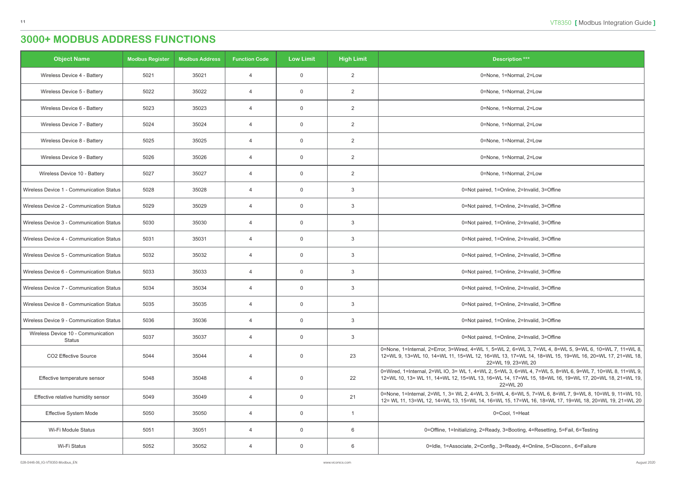| <b>Object Name</b>                           | <b>Modbus Register</b> | <b>Modbus Address</b> | <b>Function Code</b> | <b>Low Limit</b> | <b>High Limit</b> | <b>Description ***</b>                                                                                                                                                                                                              |
|----------------------------------------------|------------------------|-----------------------|----------------------|------------------|-------------------|-------------------------------------------------------------------------------------------------------------------------------------------------------------------------------------------------------------------------------------|
| Wireless Device 4 - Battery                  | 5021                   | 35021                 | $\overline{4}$       | $\overline{0}$   | $\overline{2}$    | 0=None, 1=Normal, 2=Low                                                                                                                                                                                                             |
| Wireless Device 5 - Battery                  | 5022                   | 35022                 | $\overline{4}$       | $\mathsf{O}$     | $\overline{2}$    | 0=None, 1=Normal, 2=Low                                                                                                                                                                                                             |
| Wireless Device 6 - Battery                  | 5023                   | 35023                 | $\overline{4}$       | $\overline{0}$   | $\overline{2}$    | 0=None, 1=Normal, 2=Low                                                                                                                                                                                                             |
| Wireless Device 7 - Battery                  | 5024                   | 35024                 | $\overline{4}$       | $\mathsf{O}$     | $\overline{2}$    | 0=None, 1=Normal, 2=Low                                                                                                                                                                                                             |
| Wireless Device 8 - Battery                  | 5025                   | 35025                 | $\overline{4}$       | $\mathbf 0$      | $\overline{2}$    | 0=None, 1=Normal, 2=Low                                                                                                                                                                                                             |
| Wireless Device 9 - Battery                  | 5026                   | 35026                 | $\overline{4}$       | $\mathbf 0$      | $\overline{2}$    | 0=None, 1=Normal, 2=Low                                                                                                                                                                                                             |
| Wireless Device 10 - Battery                 | 5027                   | 35027                 | $\overline{4}$       | $\overline{0}$   | $\overline{2}$    | 0=None, 1=Normal, 2=Low                                                                                                                                                                                                             |
| Wireless Device 1 - Communication Status     | 5028                   | 35028                 | $\overline{4}$       | $\overline{0}$   | 3                 | 0=Not paired, 1=Online, 2=Invalid, 3=Offine                                                                                                                                                                                         |
| Wireless Device 2 - Communication Status     | 5029                   | 35029                 | $\overline{4}$       | $\mathbf 0$      | 3                 | 0=Not paired, 1=Online, 2=Invalid, 3=Offine                                                                                                                                                                                         |
| Wireless Device 3 - Communication Status     | 5030                   | 35030                 | $\overline{4}$       | $\overline{0}$   | 3                 | 0=Not paired, 1=Online, 2=Invalid, 3=Offine                                                                                                                                                                                         |
| Wireless Device 4 - Communication Status     | 5031                   | 35031                 | $\overline{4}$       | $\mathbf 0$      | 3                 | 0=Not paired, 1=Online, 2=Invalid, 3=Offine                                                                                                                                                                                         |
| Wireless Device 5 - Communication Status     | 5032                   | 35032                 | $\overline{4}$       | $\mathbf 0$      | 3                 | 0=Not paired, 1=Online, 2=Invalid, 3=Offine                                                                                                                                                                                         |
| Wireless Device 6 - Communication Status     | 5033                   | 35033                 | $\overline{4}$       | $\overline{0}$   | 3                 | 0=Not paired, 1=Online, 2=Invalid, 3=Offine                                                                                                                                                                                         |
| Wireless Device 7 - Communication Status     | 5034                   | 35034                 | $\overline{4}$       | $\mathbf 0$      | 3                 | 0=Not paired, 1=Online, 2=Invalid, 3=Offine                                                                                                                                                                                         |
| Wireless Device 8 - Communication Status     | 5035                   | 35035                 | 4                    | 0                | 3                 | 0=Not paired, 1=Online, 2=Invalid, 3=Offine                                                                                                                                                                                         |
| Wireless Device 9 - Communication Status     | 5036                   | 35036                 | $\overline{4}$       | $\overline{0}$   | 3                 | 0=Not paired, 1=Online, 2=Invalid, 3=Offine                                                                                                                                                                                         |
| Wireless Device 10 - Communication<br>Status | 5037                   | 35037                 | $\overline{4}$       | $\mathbf 0$      | $\mathbf{3}$      | 0=Not paired, 1=Online, 2=Invalid, 3=Offine                                                                                                                                                                                         |
| CO2 Effective Source                         | 5044                   | 35044                 | $\overline{4}$       | $\overline{0}$   | 23                | 0=None, 1=Internal, 2=Error, 3=Wired, 4=WL 1, 5=WL 2, 6=WL 3, 7=WL 4, 8=WL 5, 9=WL 6, 10=WL 7, 11=WL 8,<br>12=WL 9, 13=WL 10, 14=WL 11, 15=WL 12, 16=WL 13, 17=WL 14, 18=WL 15, 19=WL 16, 20=WL 17, 21=WL 18,<br>22=WL 19, 23=WL 20 |
| Effective temperature sensor                 | 5048                   | 35048                 | $\overline{4}$       | $\overline{0}$   | 22                | 0=Wired, 1=Internal, 2=WL IO, 3= WL 1, 4=WL 2, 5=WL 3, 6=WL 4, 7=WL 5, 8=WL 6, 9=WL 7, 10=WL 8, 11=WL 9,<br>12=WL 10, 13= WL 11, 14=WL 12, 15=WL 13, 16=WL 14, 17=WL 15, 18=WL 16, 19=WL 17, 20=WL 18, 21=WL 19,<br>22=WL 20        |
| Effective relative humidity sensor           | 5049                   | 35049                 | $\overline{4}$       | $\overline{0}$   | 21                | 0=None, 1=Internal, 2=WL 1, 3= WL 2, 4=WL 3, 5=WL 4, 6=WL 5, 7=WL 6, 8=WL 7, 9=WL 8, 10=WL 9, 11=WL 10,<br>12= WL 11, 13=WL 12, 14=WL 13, 15=WL 14, 16=WL 15, 17=WL 16, 18=WL 17, 19=WL 18, 20=WL 19, 21=WL 20                      |
| Effective System Mode                        | 5050                   | 35050                 | $\overline{4}$       | $\overline{0}$   |                   | 0=Cool, 1=Heat                                                                                                                                                                                                                      |
| Wi-Fi Module Status                          | 5051                   | 35051                 | $\overline{4}$       | $\overline{0}$   | 6                 | 0=Offline, 1=Initializing, 2=Ready, 3=Booting, 4=Resetting, 5=Fail, 6=Testing                                                                                                                                                       |
| Wi-Fi Status                                 | 5052                   | 35052                 | $\overline{4}$       | $\overline{0}$   | 6                 | 0=Idle, 1=Associate, 2=Config., 3=Ready, 4=Online, 5=Disconn., 6=Failure                                                                                                                                                            |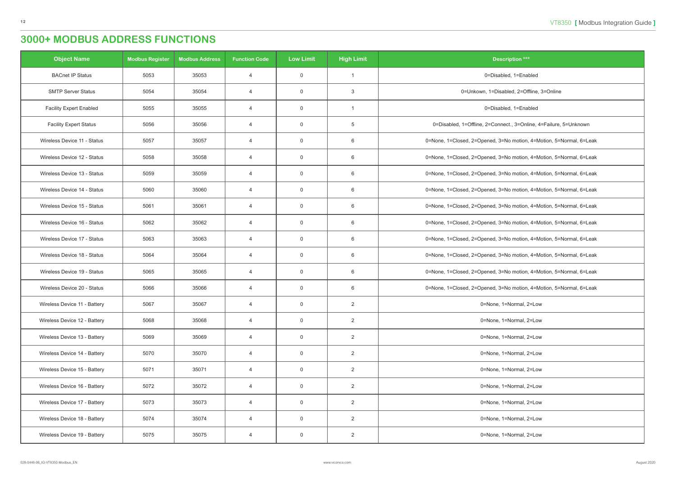| <b>Object Name</b>             | <b>Modbus Register</b> | <b>Modbus Address</b> | <b>Function Code</b> | <b>Low Limit</b> | <b>High Limit</b> | <b>Description ***</b>                                              |
|--------------------------------|------------------------|-----------------------|----------------------|------------------|-------------------|---------------------------------------------------------------------|
| <b>BACnet IP Status</b>        | 5053                   | 35053                 | $\overline{4}$       | $\overline{0}$   |                   | 0=Disabled, 1=Enabled                                               |
| <b>SMTP Server Status</b>      | 5054                   | 35054                 | $\overline{4}$       | $\overline{0}$   | 3                 | 0=Unkown, 1=Disabled, 2=Offline, 3=Online                           |
| <b>Facility Expert Enabled</b> | 5055                   | 35055                 | $\overline{4}$       | $\overline{0}$   |                   | 0=Disabled, 1=Enabled                                               |
| <b>Facility Expert Status</b>  | 5056                   | 35056                 | $\overline{4}$       | $\overline{0}$   | 5                 | 0=Disabled, 1=Offline, 2=Connect., 3=Online, 4=Failure, 5=Unknown   |
| Wireless Device 11 - Status    | 5057                   | 35057                 | $\overline{4}$       | $\overline{0}$   | 6                 | 0=None, 1=Closed, 2=Opened, 3=No motion, 4=Motion, 5=Normal, 6=Leak |
| Wireless Device 12 - Status    | 5058                   | 35058                 | $\overline{4}$       | $\overline{0}$   | 6                 | 0=None, 1=Closed, 2=Opened, 3=No motion, 4=Motion, 5=Normal, 6=Leak |
| Wireless Device 13 - Status    | 5059                   | 35059                 | $\overline{4}$       | $\overline{0}$   | 6                 | 0=None, 1=Closed, 2=Opened, 3=No motion, 4=Motion, 5=Normal, 6=Leak |
| Wireless Device 14 - Status    | 5060                   | 35060                 | $\overline{4}$       | $\overline{0}$   | 6                 | 0=None, 1=Closed, 2=Opened, 3=No motion, 4=Motion, 5=Normal, 6=Leak |
| Wireless Device 15 - Status    | 5061                   | 35061                 | $\overline{4}$       | $\overline{0}$   | 6                 | 0=None, 1=Closed, 2=Opened, 3=No motion, 4=Motion, 5=Normal, 6=Leak |
| Wireless Device 16 - Status    | 5062                   | 35062                 | $\overline{4}$       | $\overline{0}$   | 6                 | 0=None, 1=Closed, 2=Opened, 3=No motion, 4=Motion, 5=Normal, 6=Leak |
| Wireless Device 17 - Status    | 5063                   | 35063                 | $\overline{4}$       | $\overline{0}$   | 6                 | 0=None, 1=Closed, 2=Opened, 3=No motion, 4=Motion, 5=Normal, 6=Leak |
| Wireless Device 18 - Status    | 5064                   | 35064                 | $\overline{4}$       | $\overline{0}$   | 6                 | 0=None, 1=Closed, 2=Opened, 3=No motion, 4=Motion, 5=Normal, 6=Leak |
| Wireless Device 19 - Status    | 5065                   | 35065                 | $\overline{4}$       | $\overline{0}$   | 6                 | 0=None, 1=Closed, 2=Opened, 3=No motion, 4=Motion, 5=Normal, 6=Leak |
| Wireless Device 20 - Status    | 5066                   | 35066                 | $\overline{4}$       | $\overline{0}$   | 6                 | 0=None, 1=Closed, 2=Opened, 3=No motion, 4=Motion, 5=Normal, 6=Leak |
| Wireless Device 11 - Battery   | 5067                   | 35067                 | 4                    | $\overline{0}$   | $\overline{2}$    | 0=None, 1=Normal, 2=Low                                             |
| Wireless Device 12 - Battery   | 5068                   | 35068                 | $\overline{4}$       | $\overline{0}$   | $\overline{2}$    | 0=None, 1=Normal, 2=Low                                             |
| Wireless Device 13 - Battery   | 5069                   | 35069                 | $\overline{4}$       | $\overline{0}$   | $\overline{2}$    | 0=None, 1=Normal, 2=Low                                             |
| Wireless Device 14 - Battery   | 5070                   | 35070                 | $\overline{4}$       | $\mathsf 0$      | $\overline{2}$    | 0=None, 1=Normal, 2=Low                                             |
| Wireless Device 15 - Battery   | 5071                   | 35071                 | $\overline{4}$       | $\overline{0}$   | $\overline{2}$    | 0=None, 1=Normal, 2=Low                                             |
| Wireless Device 16 - Battery   | 5072                   | 35072                 | $\overline{4}$       | $\overline{0}$   | $\overline{2}$    | 0=None, 1=Normal, 2=Low                                             |
| Wireless Device 17 - Battery   | 5073                   | 35073                 | $\overline{4}$       | $\overline{0}$   | $\overline{2}$    | 0=None, 1=Normal, 2=Low                                             |
| Wireless Device 18 - Battery   | 5074                   | 35074                 | $\overline{4}$       | $\overline{0}$   | $\overline{2}$    | 0=None, 1=Normal, 2=Low                                             |
| Wireless Device 19 - Battery   | 5075                   | 35075                 | $\overline{4}$       | $\overline{0}$   | $\overline{2}$    | 0=None, 1=Normal, 2=Low                                             |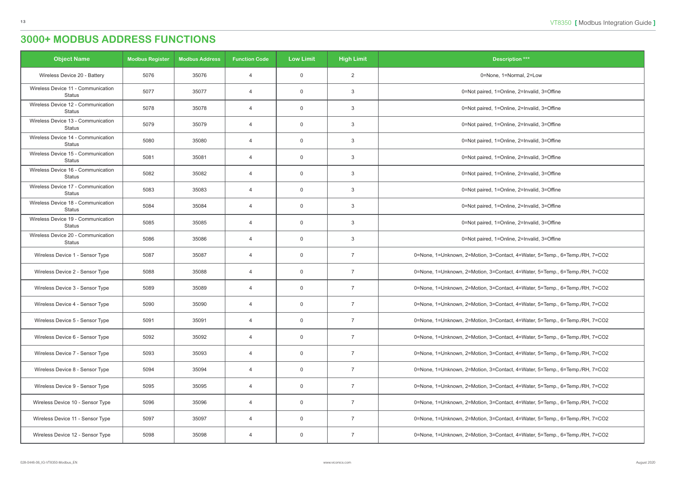| <b>Object Name</b>                                  | <b>Modbus Register</b> | <b>Modbus Address</b> | <b>Function Code</b> | <b>Low Limit</b> | <b>High Limit</b> | <b>Description ***</b>                                                      |
|-----------------------------------------------------|------------------------|-----------------------|----------------------|------------------|-------------------|-----------------------------------------------------------------------------|
| Wireless Device 20 - Battery                        | 5076                   | 35076                 | $\overline{4}$       | $\overline{0}$   | $\overline{2}$    | 0=None, 1=Normal, 2=Low                                                     |
| Wireless Device 11 - Communication<br><b>Status</b> | 5077                   | 35077                 | $\overline{4}$       | $\overline{0}$   | 3                 | 0=Not paired, 1=Online, 2=Invalid, 3=Offine                                 |
| Wireless Device 12 - Communication<br><b>Status</b> | 5078                   | 35078                 | $\overline{4}$       | $\overline{0}$   | 3                 | 0=Not paired, 1=Online, 2=Invalid, 3=Offine                                 |
| Wireless Device 13 - Communication<br><b>Status</b> | 5079                   | 35079                 | $\overline{4}$       | $\overline{0}$   | 3                 | 0=Not paired, 1=Online, 2=Invalid, 3=Offine                                 |
| Wireless Device 14 - Communication<br><b>Status</b> | 5080                   | 35080                 | $\overline{4}$       | $\overline{0}$   | 3                 | 0=Not paired, 1=Online, 2=Invalid, 3=Offine                                 |
| Wireless Device 15 - Communication<br><b>Status</b> | 5081                   | 35081                 | $\overline{4}$       | $\overline{0}$   | 3                 | 0=Not paired, 1=Online, 2=Invalid, 3=Offine                                 |
| Wireless Device 16 - Communication<br><b>Status</b> | 5082                   | 35082                 | $\overline{4}$       | $\overline{0}$   | 3                 | 0=Not paired, 1=Online, 2=Invalid, 3=Offine                                 |
| Wireless Device 17 - Communication<br><b>Status</b> | 5083                   | 35083                 | $\overline{4}$       | $\overline{0}$   | 3                 | 0=Not paired, 1=Online, 2=Invalid, 3=Offine                                 |
| Wireless Device 18 - Communication<br><b>Status</b> | 5084                   | 35084                 | $\overline{4}$       | $\overline{0}$   | 3                 | 0=Not paired, 1=Online, 2=Invalid, 3=Offine                                 |
| Wireless Device 19 - Communication<br><b>Status</b> | 5085                   | 35085                 | $\overline{4}$       | $\overline{0}$   | 3                 | 0=Not paired, 1=Online, 2=Invalid, 3=Offine                                 |
| Wireless Device 20 - Communication<br><b>Status</b> | 5086                   | 35086                 | $\overline{4}$       | $\overline{0}$   | 3                 | 0=Not paired, 1=Online, 2=Invalid, 3=Offine                                 |
| Wireless Device 1 - Sensor Type                     | 5087                   | 35087                 | $\overline{4}$       | $\overline{0}$   | $\overline{7}$    | 0=None, 1=Unknown, 2=Motion, 3=Contact, 4=Water, 5=Temp., 6=Temp./RH, 7=CO2 |
| Wireless Device 2 - Sensor Type                     | 5088                   | 35088                 | $\overline{4}$       | $\overline{0}$   | $\overline{7}$    | 0=None, 1=Unknown, 2=Motion, 3=Contact, 4=Water, 5=Temp., 6=Temp./RH, 7=CO2 |
| Wireless Device 3 - Sensor Type                     | 5089                   | 35089                 | $\overline{4}$       | $\overline{0}$   | $\overline{7}$    | 0=None, 1=Unknown, 2=Motion, 3=Contact, 4=Water, 5=Temp., 6=Temp./RH, 7=CO2 |
| Wireless Device 4 - Sensor Type                     | 5090                   | 35090                 | 4                    | $\mathbf 0$      | 7                 | 0=None, 1=Unknown, 2=Motion, 3=Contact, 4=Water, 5=Temp., 6=Temp./RH, 7=CO2 |
| Wireless Device 5 - Sensor Type                     | 5091                   | 35091                 | $\overline{4}$       | $\overline{0}$   | 7                 | 0=None, 1=Unknown, 2=Motion, 3=Contact, 4=Water, 5=Temp., 6=Temp./RH, 7=CO2 |
| Wireless Device 6 - Sensor Type                     | 5092                   | 35092                 | $\overline{4}$       | $\overline{0}$   | $\overline{7}$    | 0=None, 1=Unknown, 2=Motion, 3=Contact, 4=Water, 5=Temp., 6=Temp./RH, 7=CO2 |
| Wireless Device 7 - Sensor Type                     | 5093                   | 35093                 | $\overline{4}$       | $\overline{0}$   | $\overline{7}$    | 0=None, 1=Unknown, 2=Motion, 3=Contact, 4=Water, 5=Temp., 6=Temp./RH, 7=CO2 |
| Wireless Device 8 - Sensor Type                     | 5094                   | 35094                 | $\overline{4}$       | $\overline{0}$   | $\overline{7}$    | 0=None, 1=Unknown, 2=Motion, 3=Contact, 4=Water, 5=Temp., 6=Temp./RH, 7=CO2 |
| Wireless Device 9 - Sensor Type                     | 5095                   | 35095                 | $\overline{4}$       | $\overline{0}$   | $\overline{7}$    | 0=None, 1=Unknown, 2=Motion, 3=Contact, 4=Water, 5=Temp., 6=Temp./RH, 7=CO2 |
| Wireless Device 10 - Sensor Type                    | 5096                   | 35096                 | $\overline{4}$       | $\overline{0}$   | $\overline{7}$    | 0=None, 1=Unknown, 2=Motion, 3=Contact, 4=Water, 5=Temp., 6=Temp./RH, 7=CO2 |
| Wireless Device 11 - Sensor Type                    | 5097                   | 35097                 | $\overline{4}$       | $\overline{0}$   | $\overline{7}$    | 0=None, 1=Unknown, 2=Motion, 3=Contact, 4=Water, 5=Temp., 6=Temp./RH, 7=CO2 |
| Wireless Device 12 - Sensor Type                    | 5098                   | 35098                 | $\overline{4}$       | $\overline{0}$   | $\overline{7}$    | 0=None, 1=Unknown, 2=Motion, 3=Contact, 4=Water, 5=Temp., 6=Temp./RH, 7=CO2 |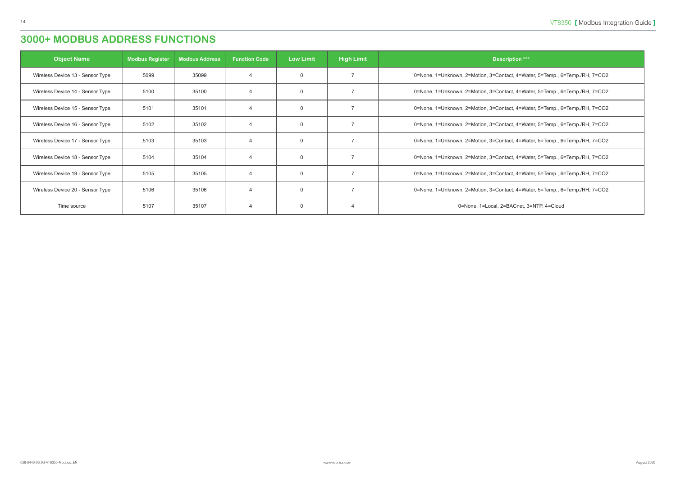| <b>Object Name</b>               | <b>Modbus Register</b> | <b>Modbus Address</b> | <b>Function Code</b> | <b>Low Limit</b> | <b>High Limit</b> | Description ***                                                             |
|----------------------------------|------------------------|-----------------------|----------------------|------------------|-------------------|-----------------------------------------------------------------------------|
| Wireless Device 13 - Sensor Type | 5099                   | 35099                 |                      | $\mathbf{0}$     |                   | 0=None, 1=Unknown, 2=Motion, 3=Contact, 4=Water, 5=Temp., 6=Temp./RH, 7=CO2 |
| Wireless Device 14 - Sensor Type | 5100                   | 35100                 | $\Delta$             | $\mathbf 0$      |                   | 0=None, 1=Unknown, 2=Motion, 3=Contact, 4=Water, 5=Temp., 6=Temp./RH, 7=CO2 |
| Wireless Device 15 - Sensor Type | 5101                   | 35101                 | $\overline{A}$       | $\mathbf 0$      |                   | 0=None, 1=Unknown, 2=Motion, 3=Contact, 4=Water, 5=Temp., 6=Temp./RH, 7=CO2 |
| Wireless Device 16 - Sensor Type | 5102                   | 35102                 | $\overline{4}$       | $\mathbf 0$      |                   | 0=None, 1=Unknown, 2=Motion, 3=Contact, 4=Water, 5=Temp., 6=Temp./RH, 7=CO2 |
| Wireless Device 17 - Sensor Type | 5103                   | 35103                 | $\overline{4}$       | $\mathbf{0}$     |                   | 0=None, 1=Unknown, 2=Motion, 3=Contact, 4=Water, 5=Temp., 6=Temp./RH, 7=CO2 |
| Wireless Device 18 - Sensor Type | 5104                   | 35104                 |                      | $\mathbf 0$      |                   | 0=None, 1=Unknown, 2=Motion, 3=Contact, 4=Water, 5=Temp., 6=Temp./RH, 7=CO2 |
| Wireless Device 19 - Sensor Type | 5105                   | 35105                 | $\overline{4}$       | $\mathbf 0$      |                   | 0=None, 1=Unknown, 2=Motion, 3=Contact, 4=Water, 5=Temp., 6=Temp./RH, 7=CO2 |
| Wireless Device 20 - Sensor Type | 5106                   | 35106                 | $\overline{A}$       | $\mathbf{0}$     |                   | 0=None, 1=Unknown, 2=Motion, 3=Contact, 4=Water, 5=Temp., 6=Temp./RH, 7=CO2 |
| Time source                      | 5107                   | 35107                 | $\overline{4}$       | $\mathbf 0$      |                   | 0=None, 1=Local, 2=BACnet, 3=NTP, 4=Cloud                                   |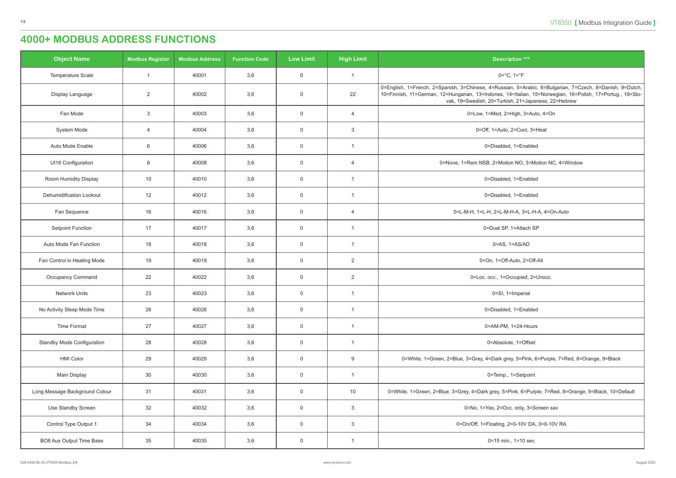<span id="page-14-0"></span>

| <b>Object Name</b>                | <b>Modbus Register</b> | <b>Modbus Address</b> | <b>Function Code</b> | <b>Low Limit</b> | <b>High Limit</b> | <b>Description ***</b>                                                                                                                                                                                                                                                       |
|-----------------------------------|------------------------|-----------------------|----------------------|------------------|-------------------|------------------------------------------------------------------------------------------------------------------------------------------------------------------------------------------------------------------------------------------------------------------------------|
| Temperature Scale                 |                        | 40001                 | 3,6                  | $\overline{0}$   |                   | $0 = ^{\circ}C, 1 = ^{\circ}F$                                                                                                                                                                                                                                               |
| Display Language                  | $\overline{2}$         | 40002                 | 3,6                  | $\mathbf 0$      | 22                | 0=English, 1=French, 2=Spanish, 3=Chinese, 4=Russian, 5=Arabic, 6=Bulgarian, 7=Czech, 8=Danish, 9=Dutch,<br>10=Finnish, 11=German, 12=Hungarian, 13=Indones, 14=Italian, 15=Norwegian, 16=Polish, 17=Portug., 18=Slo-<br>vak, 19=Swedish, 20=Turkish, 21=Japanese, 22=Hebrew |
| Fan Mode                          | $\mathbf{3}$           | 40003                 | 3,6                  | $\overline{0}$   | $\overline{4}$    | 0=Low, 1=Med, 2=High, 3=Auto, 4=On                                                                                                                                                                                                                                           |
| System Mode                       | $\overline{4}$         | 40004                 | 3,6                  | $\mathbf 0$      | 3                 | 0=Off, 1=Auto, 2=Cool, 3=Heat                                                                                                                                                                                                                                                |
| Auto Mode Enable                  | $6\phantom{1}6$        | 40006                 | 3,6                  | $\overline{0}$   |                   | 0=Disabled, 1=Enabled                                                                                                                                                                                                                                                        |
| UI16 Configuration                | 8                      | 40008                 | 3,6                  | $\overline{0}$   | $\overline{4}$    | 0=None, 1=Rem NSB, 2=Motion NO, 3=Motion NC, 4=Window                                                                                                                                                                                                                        |
| Room Humidity Display             | 10                     | 40010                 | 3,6                  | $\overline{0}$   |                   | 0=Disabled, 1=Enabled                                                                                                                                                                                                                                                        |
| <b>Dehumidification Lockout</b>   | 12                     | 40012                 | 3,6                  | $\overline{0}$   | $\overline{1}$    | 0=Disabled, 1=Enabled                                                                                                                                                                                                                                                        |
| Fan Sequence                      | 16                     | 40016                 | 3,6                  | $\overline{0}$   | $\overline{4}$    | 0=L-M-H, 1=L-H, 2=L-M-H-A, 3=L-H-A, 4=On-Auto                                                                                                                                                                                                                                |
| <b>Setpoint Function</b>          | 17                     | 40017                 | 3,6                  | $\overline{0}$   |                   | 0=Dual SP, 1=Attach SP                                                                                                                                                                                                                                                       |
| Auto Mode Fan Function            | 18                     | 40018                 | 3,6                  | $\overline{0}$   |                   | $0 = AS$ , $1 = AS/AD$                                                                                                                                                                                                                                                       |
| Fan Control in Heating Mode       | 19                     | 40019                 | 3,6                  | $\overline{0}$   | $\overline{2}$    | 0=On, 1=Off-Auto, 2=Off-All                                                                                                                                                                                                                                                  |
| Occupancy Command                 | 22                     | 40022                 | 3,6                  | $\overline{0}$   | $\overline{2}$    | 0=Loc. occ., 1=Occupied, 2=Unocc.                                                                                                                                                                                                                                            |
| <b>Network Units</b>              | 23                     | 40023                 | 3,6                  | $\overline{0}$   | -1                | 0=SI, 1=Imperial                                                                                                                                                                                                                                                             |
| No Activity Sleep Mode Time       | 26                     | 40026                 | 3,6                  | $\overline{0}$   |                   | 0=Disabled, 1=Enabled                                                                                                                                                                                                                                                        |
| <b>Time Format</b>                | 27                     | 40027                 | 3,6                  | $\overline{0}$   | $\overline{1}$    | 0=AM-PM, 1=24-Hours                                                                                                                                                                                                                                                          |
| <b>Standby Mode Configuration</b> | 28                     | 40028                 | 3,6                  | $\overline{0}$   | $\overline{1}$    | 0=Absolute, 1=Offset                                                                                                                                                                                                                                                         |
| <b>HMI Color</b>                  | 29                     | 40029                 | 3,6                  | $\overline{0}$   | 9                 | 0=White, 1=Green, 2=Blue, 3=Grey, 4=Dark grey, 5=Pink, 6=Purple, 7=Red, 8=Orange, 9=Black                                                                                                                                                                                    |
| Main Display                      | 30                     | 40030                 | 3,6                  | $\overline{0}$   | $\overline{1}$    | 0=Temp., 1=Setpoint                                                                                                                                                                                                                                                          |
| Long Message Background Colour    | 31                     | 40031                 | 3,6                  | $\overline{0}$   | 10                | 0=White, 1=Green, 2=Blue, 3=Grey, 4=Dark grey, 5=Pink, 6=Purple, 7=Red, 8=Orange, 9=Black, 10=Default                                                                                                                                                                        |
| Use Standby Screen                | 32                     | 40032                 | 3,6                  | $\overline{0}$   | $\mathbf{3}$      | 0=No, 1=Yes, 2=Occ. only, 3=Screen sav                                                                                                                                                                                                                                       |
| Control Type Output 1             | 34                     | 40034                 | 3,6                  | $\overline{0}$   | $\mathbf{3}$      | 0=On/Off, 1=Floating, 2=0-10V DA, 3=0-10V RA                                                                                                                                                                                                                                 |
| BO8 Aux Output Time Base          | 35                     | 40035                 | 3,6                  | $\overline{0}$   |                   | 0=15 min., 1=10 sec                                                                                                                                                                                                                                                          |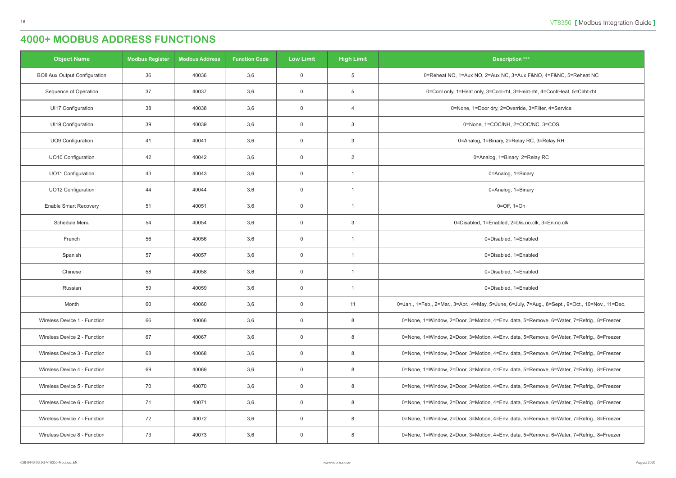| <b>Object Name</b>                  | <b>Modbus Register</b> | <b>Modbus Address</b> | <b>Function Code</b> | <b>Low Limit</b> | <b>High Limit</b> | <b>Description ***</b>                                                                           |
|-------------------------------------|------------------------|-----------------------|----------------------|------------------|-------------------|--------------------------------------------------------------------------------------------------|
| <b>BO8 Aux Output Configuration</b> | 36                     | 40036                 | 3,6                  | $\overline{0}$   | $\overline{5}$    | 0=Reheat NO, 1=Aux NO, 2=Aux NC, 3=Aux F&NO, 4=F&NC, 5=Reheat NC                                 |
| Sequence of Operation               | 37                     | 40037                 | 3,6                  | $\overline{0}$   | $5\phantom{.0}$   | 0=Cool only, 1=Heat only, 3=Cool-rht, 3=Heat-rht, 4=Cool/Heat, 5=Cl/ht-rht                       |
| UI17 Configuration                  | 38                     | 40038                 | 3,6                  | $\overline{0}$   | $\overline{4}$    | 0=None, 1=Door dry, 2=Override, 3=Filter, 4=Service                                              |
| UI19 Configuration                  | 39                     | 40039                 | 3,6                  | $\overline{0}$   | $\mathbf{3}$      | 0=None, 1=COC/NH, 2=COC/NC, 3=COS                                                                |
| UO9 Configuration                   | 41                     | 40041                 | 3,6                  | $\overline{0}$   | $\mathbf{3}$      | 0=Analog, 1=Binary, 2=Relay RC, 3=Relay RH                                                       |
| <b>UO10 Configuration</b>           | 42                     | 40042                 | 3,6                  | $\mathbf 0$      | $\overline{2}$    | 0=Analog, 1=Binary, 2=Relay RC                                                                   |
| <b>UO11 Configuration</b>           | 43                     | 40043                 | 3,6                  | $\overline{0}$   | $\overline{1}$    | 0=Analog, 1=Binary                                                                               |
| <b>UO12 Configuration</b>           | 44                     | 40044                 | 3,6                  | $\overline{0}$   |                   | 0=Analog, 1=Binary                                                                               |
| <b>Enable Smart Recovery</b>        | 51                     | 40051                 | 3,6                  | $\overline{0}$   | $\overline{1}$    | $0 = \text{Off}, 1 = \text{On}$                                                                  |
| Schedule Menu                       | 54                     | 40054                 | 3,6                  | $\overline{0}$   | $\mathbf{3}$      | 0=Disabled, 1=Enabled, 2=Dis.no.clk, 3=En.no.clk                                                 |
| French                              | 56                     | 40056                 | 3,6                  | $\overline{0}$   |                   | 0=Disabled, 1=Enabled                                                                            |
| Spanish                             | 57                     | 40057                 | 3,6                  | $\mathbf 0$      | $\overline{1}$    | 0=Disabled, 1=Enabled                                                                            |
| Chinese                             | 58                     | 40058                 | 3,6                  | $\overline{0}$   | $\overline{1}$    | 0=Disabled, 1=Enabled                                                                            |
| Russian                             | 59                     | 40059                 | 3,6                  | $\overline{0}$   | $\overline{1}$    | 0=Disabled, 1=Enabled                                                                            |
| Month                               | 60                     | 40060                 | 3,6                  | $\overline{0}$   | 11                | 0=Jan., 1=Feb., 2=Mar., 3=Apr., 4=May, 5=June, 6=July, 7=Aug., 8=Sept., 9=Oct., 10=Nov., 11=Dec. |
| Wireless Device 1 - Function        | 66                     | 40066                 | 3,6                  | $\overline{0}$   | 8                 | 0=None, 1=Window, 2=Door, 3=Motion, 4=Env. data, 5=Remove, 6=Water, 7=Refrig., 8=Freezer         |
| Wireless Device 2 - Function        | 67                     | 40067                 | 3,6                  | $\mathbf 0$      | 8                 | 0=None, 1=Window, 2=Door, 3=Motion, 4=Env. data, 5=Remove, 6=Water, 7=Refrig., 8=Freezer         |
| Wireless Device 3 - Function        | 68                     | 40068                 | 3,6                  | $\overline{0}$   | 8                 | 0=None, 1=Window, 2=Door, 3=Motion, 4=Env. data, 5=Remove, 6=Water, 7=Refrig., 8=Freezer         |
| Wireless Device 4 - Function        | 69                     | 40069                 | 3,6                  | $\overline{0}$   | 8                 | 0=None, 1=Window, 2=Door, 3=Motion, 4=Env. data, 5=Remove, 6=Water, 7=Refrig., 8=Freezer         |
| Wireless Device 5 - Function        | 70                     | 40070                 | 3,6                  | $\overline{0}$   | 8                 | 0=None, 1=Window, 2=Door, 3=Motion, 4=Env. data, 5=Remove, 6=Water, 7=Refrig., 8=Freezer         |
| Wireless Device 6 - Function        | 71                     | 40071                 | 3,6                  | $\overline{0}$   | 8                 | 0=None, 1=Window, 2=Door, 3=Motion, 4=Env. data, 5=Remove, 6=Water, 7=Refrig., 8=Freezer         |
| Wireless Device 7 - Function        | 72                     | 40072                 | 3,6                  | $\mathbf 0$      | 8                 | 0=None, 1=Window, 2=Door, 3=Motion, 4=Env. data, 5=Remove, 6=Water, 7=Refrig., 8=Freezer         |
| Wireless Device 8 - Function        | 73                     | 40073                 | 3,6                  | $\overline{0}$   | 8                 | 0=None, 1=Window, 2=Door, 3=Motion, 4=Env. data, 5=Remove, 6=Water, 7=Refrig., 8=Freezer         |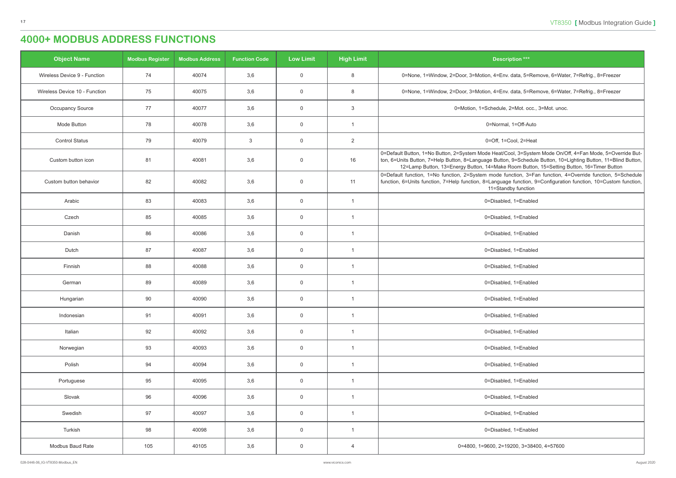| <b>Object Name</b>            | <b>Modbus Register</b> | <b>Modbus Address</b> | <b>Function Code</b> | <b>Low Limit</b> | <b>High Limit</b> | <b>Description ***</b>                                                                                                                                                                                                                                                                                                     |
|-------------------------------|------------------------|-----------------------|----------------------|------------------|-------------------|----------------------------------------------------------------------------------------------------------------------------------------------------------------------------------------------------------------------------------------------------------------------------------------------------------------------------|
| Wireless Device 9 - Function  | 74                     | 40074                 | 3,6                  | $\mathbf 0$      | 8                 | 0=None, 1=Window, 2=Door, 3=Motion, 4=Env. data, 5=Remove, 6=Water, 7=Refrig., 8=Freezer                                                                                                                                                                                                                                   |
| Wireless Device 10 - Function | 75                     | 40075                 | 3,6                  | $\overline{0}$   | 8                 | 0=None, 1=Window, 2=Door, 3=Motion, 4=Env. data, 5=Remove, 6=Water, 7=Refrig., 8=Freezer                                                                                                                                                                                                                                   |
| <b>Occupancy Source</b>       | 77                     | 40077                 | 3,6                  | $\mathbf 0$      | $\mathbf{3}$      | 0=Motion, 1=Schedule, 2=Mot. occ., 3=Mot. unoc.                                                                                                                                                                                                                                                                            |
| Mode Button                   | 78                     | 40078                 | 3,6                  | $\overline{0}$   | $\overline{1}$    | 0=Normal, 1=Off-Auto                                                                                                                                                                                                                                                                                                       |
| <b>Control Status</b>         | 79                     | 40079                 | $\mathbf{3}$         | $\overline{0}$   | $\overline{2}$    | 0=Off, 1=Cool, 2=Heat                                                                                                                                                                                                                                                                                                      |
| Custom button icon            | 81                     | 40081                 | 3,6                  | $\mathbf 0$      | 16                | 0=Default Button, 1=No Button, 2=System Mode Heat/Cool, 3=System Mode On/Off, 4=Fan Mode, 5=Override But-<br>ton, 6=Units Button, 7=Help Button, 8=Language Button, 9=Schedule Button, 10=Lighting Button, 11=Blind Button,  <br>12=Lamp Button, 13=Energy Button, 14=Make Room Button, 15=Setting Button, 16=Timer Button |
| Custom button behavior        | 82                     | 40082                 | 3,6                  | $\mathbf 0$      | 11                | 0=Default function, 1=No function, 2=System mode function, 3=Fan function, 4=Override function, 5=Schedule<br>function, 6=Units function, 7=Help function, 8=Language function, 9=Configuration function, 10=Custom function,<br>11=Standby function                                                                       |
| Arabic                        | 83                     | 40083                 | 3,6                  | $\overline{0}$   | $\overline{1}$    | 0=Disabled, 1=Enabled                                                                                                                                                                                                                                                                                                      |
| Czech                         | 85                     | 40085                 | 3,6                  | $\mathbf 0$      | $\overline{1}$    | 0=Disabled, 1=Enabled                                                                                                                                                                                                                                                                                                      |
| Danish                        | 86                     | 40086                 | 3,6                  | $\overline{0}$   | $\overline{1}$    | 0=Disabled, 1=Enabled                                                                                                                                                                                                                                                                                                      |
| Dutch                         | 87                     | 40087                 | 3,6                  | $\overline{0}$   | $\overline{1}$    | 0=Disabled, 1=Enabled                                                                                                                                                                                                                                                                                                      |
| Finnish                       | 88                     | 40088                 | 3,6                  | $\mathbf 0$      |                   | 0=Disabled, 1=Enabled                                                                                                                                                                                                                                                                                                      |
| German                        | 89                     | 40089                 | 3,6                  | $\overline{0}$   | $\overline{1}$    | 0=Disabled, 1=Enabled                                                                                                                                                                                                                                                                                                      |
| Hungarian                     | 90                     | 40090                 | 3,6                  | $\mathbf 0$      |                   | 0=Disabled, 1=Enabled                                                                                                                                                                                                                                                                                                      |
| Indonesian                    | 91                     | 40091                 | 3,6                  | $\overline{0}$   | $\overline{1}$    | 0=Disabled, 1=Enabled                                                                                                                                                                                                                                                                                                      |
| Italian                       | 92                     | 40092                 | 3,6                  | $\mathbf 0$      | $\overline{1}$    | 0=Disabled, 1=Enabled                                                                                                                                                                                                                                                                                                      |
| Norwegian                     | 93                     | 40093                 | 3,6                  | $\mathbf 0$      | $\overline{1}$    | 0=Disabled, 1=Enabled                                                                                                                                                                                                                                                                                                      |
| Polish                        | 94                     | 40094                 | 3,6                  | $\overline{0}$   | $\overline{1}$    | 0=Disabled, 1=Enabled                                                                                                                                                                                                                                                                                                      |
| Portuguese                    | 95                     | 40095                 | 3,6                  | $\mathbf 0$      | $\overline{1}$    | 0=Disabled, 1=Enabled                                                                                                                                                                                                                                                                                                      |
| Slovak                        | 96                     | 40096                 | 3,6                  | $\overline{0}$   | $\overline{1}$    | 0=Disabled, 1=Enabled                                                                                                                                                                                                                                                                                                      |
| Swedish                       | 97                     | 40097                 | 3,6                  | $\overline{0}$   | $\overline{1}$    | 0=Disabled, 1=Enabled                                                                                                                                                                                                                                                                                                      |
| Turkish                       | 98                     | 40098                 | 3,6                  | $\mathbf 0$      | $\overline{1}$    | 0=Disabled, 1=Enabled                                                                                                                                                                                                                                                                                                      |
| Modbus Baud Rate              | 105                    | 40105                 | 3,6                  | $\overline{0}$   | $\overline{4}$    | 0=4800, 1=9600, 2=19200, 3=38400, 4=57600                                                                                                                                                                                                                                                                                  |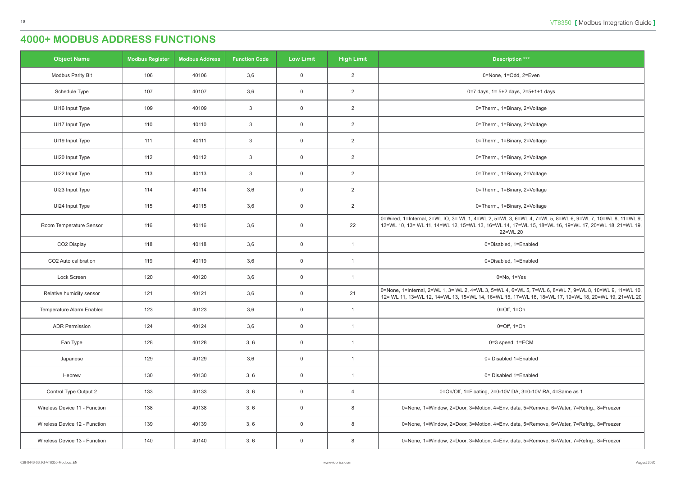| <b>Object Name</b>            | <b>Modbus Register</b> | <b>Modbus Address</b> | <b>Function Code</b> | <b>Low Limit</b> | <b>High Limit</b> | <b>Description ***</b>                                                                                                                                                                                                       |
|-------------------------------|------------------------|-----------------------|----------------------|------------------|-------------------|------------------------------------------------------------------------------------------------------------------------------------------------------------------------------------------------------------------------------|
| <b>Modbus Parity Bit</b>      | 106                    | 40106                 | 3,6                  | $\mathbf 0$      | $\overline{2}$    | 0=None, 1=Odd, 2=Even                                                                                                                                                                                                        |
| Schedule Type                 | 107                    | 40107                 | 3,6                  | $\mathsf 0$      | 2                 | 0=7 days, 1= 5+2 days, 2=5+1+1 days                                                                                                                                                                                          |
| UI16 Input Type               | 109                    | 40109                 | $\mathbf{3}$         | $\mathbf 0$      | 2                 | 0=Therm., 1=Binary, 2=Voltage                                                                                                                                                                                                |
| UI17 Input Type               | 110                    | 40110                 | $\mathbf{3}$         | $\mathsf 0$      | $\overline{2}$    | 0=Therm., 1=Binary, 2=Voltage                                                                                                                                                                                                |
| UI19 Input Type               | 111                    | 40111                 | $\mathbf{3}$         | $\mathsf 0$      | $\overline{2}$    | 0=Therm., 1=Binary, 2=Voltage                                                                                                                                                                                                |
| UI20 Input Type               | 112                    | 40112                 | $\mathbf{3}$         | $\overline{0}$   | $\overline{2}$    | 0=Therm., 1=Binary, 2=Voltage                                                                                                                                                                                                |
| UI22 Input Type               | 113                    | 40113                 | $\mathbf{3}$         | $\mathbf 0$      | $\overline{2}$    | 0=Therm., 1=Binary, 2=Voltage                                                                                                                                                                                                |
| UI23 Input Type               | 114                    | 40114                 | 3,6                  | $\mathbf 0$      | $\overline{2}$    | 0=Therm., 1=Binary, 2=Voltage                                                                                                                                                                                                |
| UI24 Input Type               | 115                    | 40115                 | 3,6                  | $\mathsf 0$      | $\overline{2}$    | 0=Therm., 1=Binary, 2=Voltage                                                                                                                                                                                                |
| Room Temperature Sensor       | 116                    | 40116                 | 3,6                  | $\mathbf 0$      | 22                | 0=Wired, 1=Internal, 2=WL IO, 3= WL 1, 4=WL 2, 5=WL 3, 6=WL 4, 7=WL 5, 8=WL 6, 9=WL 7, 10=WL 8, 11=WL 9,<br>12=WL 10, 13= WL 11, 14=WL 12, 15=WL 13, 16=WL 14, 17=WL 15, 18=WL 16, 19=WL 17, 20=WL 18, 21=WL 19,<br>22=WL 20 |
| CO2 Display                   | 118                    | 40118                 | 3,6                  | $\mathbf 0$      | $\overline{1}$    | 0=Disabled, 1=Enabled                                                                                                                                                                                                        |
| CO2 Auto calibration          | 119                    | 40119                 | 3,6                  | $\mathsf 0$      | $\mathbf{1}$      | 0=Disabled, 1=Enabled                                                                                                                                                                                                        |
| Lock Screen                   | 120                    | 40120                 | 3,6                  | $\overline{0}$   | $\overline{1}$    | $0 = No, 1 = Yes$                                                                                                                                                                                                            |
| Relative humidity sensor      | 121                    | 40121                 | 3,6                  | $\mathsf 0$      | 21                | 0=None, 1=Internal, 2=WL 1, 3= WL 2, 4=WL 3, 5=WL 4, 6=WL 5, 7=WL 6, 8=WL 7, 9=WL 8, 10=WL 9, 11=WL 10,  <br>12= WL 11, 13=WL 12, 14=WL 13, 15=WL 14, 16=WL 15, 17=WL 16, 18=WL 17, 19=WL 18, 20=WL 19, 21=WL 20             |
| Temperature Alarm Enabled     | 123                    | 40123                 | 3,6                  | $\overline{0}$   | -1                | $0=Off$ , $1=On$                                                                                                                                                                                                             |
| <b>ADR Permission</b>         | 124                    | 40124                 | 3,6                  | $\mathsf 0$      | $\overline{1}$    | $0=Off$ , $1=On$                                                                                                                                                                                                             |
| Fan Type                      | 128                    | 40128                 | 3, 6                 | $\overline{0}$   | $\overline{1}$    | 0=3 speed, 1=ECM                                                                                                                                                                                                             |
| Japanese                      | 129                    | 40129                 | 3,6                  | $\overline{0}$   | $\overline{1}$    | 0= Disabled 1=Enabled                                                                                                                                                                                                        |
| Hebrew                        | 130                    | 40130                 | 3, 6                 | $\mathsf 0$      | $\overline{1}$    | 0= Disabled 1=Enabled                                                                                                                                                                                                        |
| Control Type Output 2         | 133                    | 40133                 | 3, 6                 | $\mathbf 0$      | $\overline{4}$    | 0=On/Off, 1=Floating, 2=0-10V DA, 3=0-10V RA, 4=Same as 1                                                                                                                                                                    |
| Wireless Device 11 - Function | 138                    | 40138                 | 3, 6                 | $\mathsf 0$      | 8                 | 0=None, 1=Window, 2=Door, 3=Motion, 4=Env. data, 5=Remove, 6=Water, 7=Refrig., 8=Freezer                                                                                                                                     |
| Wireless Device 12 - Function | 139                    | 40139                 | 3, 6                 | $\overline{0}$   | 8                 | 0=None, 1=Window, 2=Door, 3=Motion, 4=Env. data, 5=Remove, 6=Water, 7=Refrig., 8=Freezer                                                                                                                                     |
| Wireless Device 13 - Function | 140                    | 40140                 | 3, 6                 | $\overline{0}$   | 8                 | 0=None, 1=Window, 2=Door, 3=Motion, 4=Env. data, 5=Remove, 6=Water, 7=Refrig., 8=Freezer                                                                                                                                     |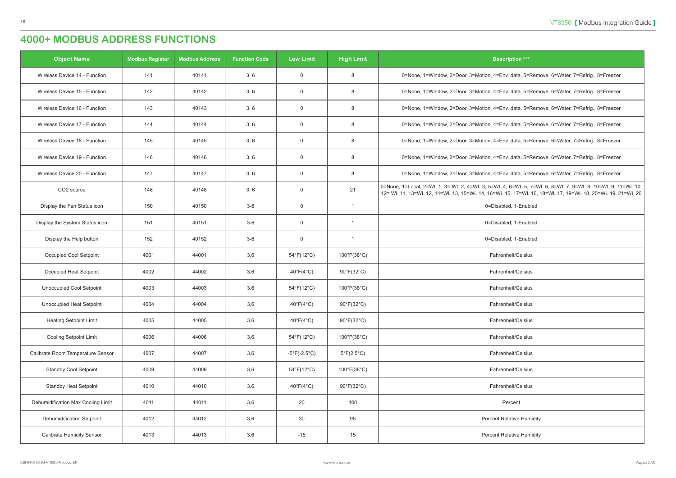# . data, 5=Remove, 6=Water, 7=Refrig., 8=Freezer data, 5=Remove, 6=Water, 7=Refrig., 8=Freezer, 3 . data, 5=Remove, 6=Water, 7=Refrig., 8=Freezer . data, 5=Remove, 6=Water, 7=Refrig., 8=Freezer . data, 5=Remove, 6=Water, 7=Refrig., 8=Freezer data, 5=Remove, 6=Water, 7=Refrig., 8=Freezer, 3 . data, 5=Remove, 6=Water, 7=Refrig., 8=Freezer 6=WL 5, 7=WL 6, 8=WL 7, 9=WL 8, 10=WL 9, 11=WL 10, 5, 17=WL 16, 18=WL 17, 19=WL 18, 20=WL 19, 21=WL 20

| <b>Object Name</b>                 | <b>Modbus Register</b> | <b>Modbus Address</b> | <b>Function Code</b> | <b>Low Limit</b>             | <b>High Limit</b>               | <b>Description ***</b>                                                                                                                   |
|------------------------------------|------------------------|-----------------------|----------------------|------------------------------|---------------------------------|------------------------------------------------------------------------------------------------------------------------------------------|
| Wireless Device 14 - Function      | 141                    | 40141                 | 3, 6                 | 0                            | 8                               | 0=None, 1=Window, 2=Door, 3=Motion, 4=Env. data, 5=Rem                                                                                   |
| Wireless Device 15 - Function      | 142                    | 40142                 | 3, 6                 | 0                            | 8                               | 0=None, 1=Window, 2=Door, 3=Motion, 4=Env. data, 5=Rem                                                                                   |
| Wireless Device 16 - Function      | 143                    | 40143                 | 3, 6                 | $\boldsymbol{0}$             | 8                               | 0=None, 1=Window, 2=Door, 3=Motion, 4=Env. data, 5=Rem                                                                                   |
| Wireless Device 17 - Function      | 144                    | 40144                 | 3, 6                 | 0                            | 8                               | 0=None, 1=Window, 2=Door, 3=Motion, 4=Env. data, 5=Rem                                                                                   |
| Wireless Device 18 - Function      | 145                    | 40145                 | 3, 6                 | $\mathbf 0$                  | 8                               | 0=None, 1=Window, 2=Door, 3=Motion, 4=Env. data, 5=Rem                                                                                   |
| Wireless Device 19 - Function      | 146                    | 40146                 | 3, 6                 | 0                            | 8                               | 0=None, 1=Window, 2=Door, 3=Motion, 4=Env. data, 5=Rem                                                                                   |
| Wireless Device 20 - Function      | 147                    | 40147                 | 3, 6                 | 0                            | 8                               | 0=None, 1=Window, 2=Door, 3=Motion, 4=Env. data, 5=Rem                                                                                   |
| CO <sub>2</sub> source             | 148                    | 40148                 | 3, 6                 | 0                            | 21                              | 0=None, 1=Local, 2=WL 1, 3= WL 2, 4=WL 3, 5=WL 4, 6=WL 5, 7=W<br>12 = WL 11, 13 = WL 12, 14 = WL 13, 15 = WL 14, 16 = WL 15, 17 = WL 16, |
| Display the Fan Status icon        | 150                    | 40150                 | $3-6$                | 0                            | $\mathbf{1}$                    | 0=Disabled, 1-Enabled                                                                                                                    |
| Display the System Status icon     | 151                    | 40151                 | $3-6$                | $\mathbf 0$                  | $\mathbf{1}$                    | 0=Disabled, 1-Enabled                                                                                                                    |
| Display the Help button            | 152                    | 40152                 | $3-6$                | 0                            | $\mathbf{1}$                    | 0=Disabled, 1-Enabled                                                                                                                    |
| Occupied Cool Setpoint             | 4001                   | 44001                 | 3,6                  | $54^{\circ}F(12^{\circ}C)$   | $100^{\circ}F(38^{\circ}C)$     | Fahrenheit/Celsius                                                                                                                       |
| Occupied Heat Setpoint             | 4002                   | 44002                 | 3,6                  | $40^{\circ}F(4^{\circ}C)$    | $90^{\circ}$ F(32 $^{\circ}$ C) | Fahrenheit/Celsius                                                                                                                       |
| <b>Unoccupied Cool Setpoint</b>    | 4003                   | 44003                 | 3,6                  | $54^{\circ}F(12^{\circ}C)$   | $100^{\circ}F(38^{\circ}C)$     | Fahrenheit/Celsius                                                                                                                       |
| Unoccupied Heat Setpoint           | 4004                   | 44004                 | 3,6                  | $40^{\circ}F(4^{\circ}C)$    | 90°F(32°C)                      | Fahrenheit/Celsius                                                                                                                       |
| <b>Heating Setpoint Limit</b>      | 4005                   | 44005                 | 3,6                  | $40^{\circ}F(4^{\circ}C)$    | $90^{\circ}F(32^{\circ}C)$      | Fahrenheit/Celsius                                                                                                                       |
| <b>Cooling Setpoint Limit</b>      | 4006                   | 44006                 | 3,6                  | $54^{\circ}F(12^{\circ}C)$   | $100^{\circ}F(38^{\circ}C)$     | Fahrenheit/Celsius                                                                                                                       |
| Calibrate Room Temperature Sensor  | 4007                   | 44007                 | 3,6                  | $-5^{\circ}F(-2.5^{\circ}C)$ | $5^{\circ}F(2.5^{\circ}C)$      | Fahrenheit/Celsius                                                                                                                       |
| <b>Standby Cool Setpoint</b>       | 4009                   | 44009                 | 3,6                  | $54^{\circ}F(12^{\circ}C)$   | $100^{\circ}F(38^{\circ}C)$     | Fahrenheit/Celsius                                                                                                                       |
| <b>Standby Heat Setpoint</b>       | 4010                   | 44010                 | 3,6                  | $40^{\circ}F(4^{\circ}C)$    | $90^{\circ}F(32^{\circ}C)$      | Fahrenheit/Celsius                                                                                                                       |
| Dehumidification Max Cooling Limit | 4011                   | 44011                 | 3,6                  | 20                           | 100                             | Percent                                                                                                                                  |
| Dehumidification Setpoint          | 4012                   | 44012                 | 3,6                  | 30                           | 95                              | <b>Percent Relative Humidity</b>                                                                                                         |
| <b>Calibrate Humidity Sensor</b>   | 4013                   | 44013                 | 3,6                  | $-15$                        | 15                              | <b>Percent Relative Humidity</b>                                                                                                         |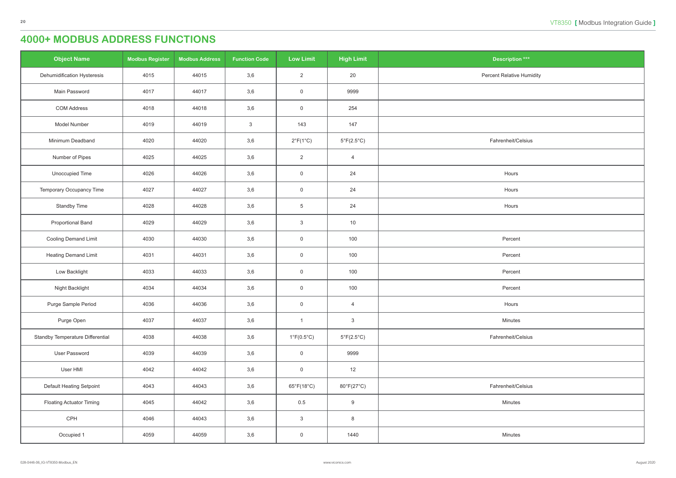| <b>Object Name</b>               | <b>Modbus Register</b> | <b>Modbus Address</b> | <b>Function Code</b> | <b>Low Limit</b>                | <b>High Limit</b>          | <b>Description ***</b>           |
|----------------------------------|------------------------|-----------------------|----------------------|---------------------------------|----------------------------|----------------------------------|
| Dehumidification Hysteresis      | 4015                   | 44015                 | 3,6                  | $\overline{2}$                  | 20                         | <b>Percent Relative Humidity</b> |
| Main Password                    | 4017                   | 44017                 | 3,6                  | $\overline{0}$                  | 9999                       |                                  |
| <b>COM Address</b>               | 4018                   | 44018                 | 3,6                  | $\mathsf 0$                     | 254                        |                                  |
| Model Number                     | 4019                   | 44019                 | $\mathbf{3}$         | 143                             | 147                        |                                  |
| Minimum Deadband                 | 4020                   | 44020                 | 3,6                  | $2^{\circ}F(1^{\circ}C)$        | $5^{\circ}F(2.5^{\circ}C)$ | Fahrenheit/Celsius               |
| Number of Pipes                  | 4025                   | 44025                 | 3,6                  | $\overline{2}$                  | $\overline{4}$             |                                  |
| Unoccupied Time                  | 4026                   | 44026                 | 3,6                  | $\overline{0}$                  | 24                         | Hours                            |
| Temporary Occupancy Time         | 4027                   | 44027                 | 3,6                  | $\overline{0}$                  | 24                         | Hours                            |
| Standby Time                     | 4028                   | 44028                 | 3,6                  | $5\phantom{.0}$                 | 24                         | Hours                            |
| <b>Proportional Band</b>         | 4029                   | 44029                 | 3,6                  | $\mathbf{3}$                    | 10                         |                                  |
| Cooling Demand Limit             | 4030                   | 44030                 | 3,6                  | $\overline{0}$                  | 100                        | Percent                          |
| <b>Heating Demand Limit</b>      | 4031                   | 44031                 | 3,6                  | $\overline{0}$                  | 100                        | Percent                          |
| Low Backlight                    | 4033                   | 44033                 | 3,6                  | $\overline{0}$                  | 100                        | Percent                          |
| Night Backlight                  | 4034                   | 44034                 | 3,6                  | $\mathbf 0$                     | 100                        | Percent                          |
| Purge Sample Period              | 4036                   | 44036                 | 3,6                  | $\overline{0}$                  | $\overline{4}$             | Hours                            |
| Purge Open                       | 4037                   | 44037                 | 3,6                  | $\overline{1}$                  | $\mathbf{3}$               | Minutes                          |
| Standby Temperature Differential | 4038                   | 44038                 | 3,6                  | $1^{\circ}$ F(0.5 $^{\circ}$ C) | $5^{\circ}F(2.5^{\circ}C)$ | Fahrenheit/Celsius               |
| User Password                    | 4039                   | 44039                 | 3,6                  | $\mathsf 0$                     | 9999                       |                                  |
| User HMI                         | 4042                   | 44042                 | 3,6                  | $\mathsf 0$                     | 12                         |                                  |
| Default Heating Setpoint         | 4043                   | 44043                 | 3,6                  | 65°F(18°C)                      | 80°F(27°C)                 | Fahrenheit/Celsius               |
| <b>Floating Actuator Timing</b>  | 4045                   | 44042                 | 3,6                  | 0.5                             | 9                          | Minutes                          |
| CPH                              | 4046                   | 44043                 | 3,6                  | $\mathbf{3}$                    | 8                          |                                  |
| Occupied 1                       | 4059                   | 44059                 | 3,6                  | $\overline{0}$                  | 1440                       | Minutes                          |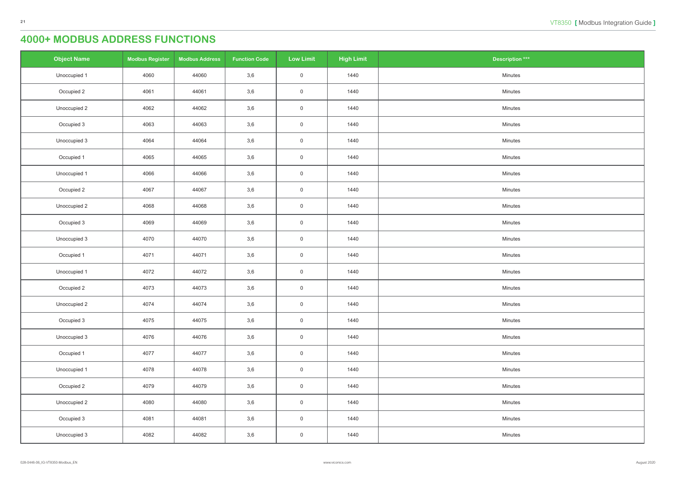| <b>Object Name</b> | <b>Modbus Register</b> | <b>Modbus Address</b> | <b>Function Code</b> | <b>Low Limit</b>    | <b>High Limit</b> | <b>Description ***</b> |
|--------------------|------------------------|-----------------------|----------------------|---------------------|-------------------|------------------------|
| Unoccupied 1       | 4060                   | 44060                 | 3,6                  | $\overline{0}$      | 1440              | Minutes                |
| Occupied 2         | 4061                   | 44061                 | 3,6                  | $\overline{0}$      | 1440              | Minutes                |
| Unoccupied 2       | 4062                   | 44062                 | 3,6                  | $\overline{0}$      | 1440              | Minutes                |
| Occupied 3         | 4063                   | 44063                 | 3,6                  | $\mathsf{O}\xspace$ | 1440              | Minutes                |
| Unoccupied 3       | 4064                   | 44064                 | 3,6                  | $\overline{0}$      | 1440              | Minutes                |
| Occupied 1         | 4065                   | 44065                 | 3,6                  | $\overline{0}$      | 1440              | Minutes                |
| Unoccupied 1       | 4066                   | 44066                 | 3,6                  | $\overline{0}$      | 1440              | Minutes                |
| Occupied 2         | 4067                   | 44067                 | 3,6                  | $\overline{0}$      | 1440              | Minutes                |
| Unoccupied 2       | 4068                   | 44068                 | 3,6                  | $\mathsf{O}\xspace$ | 1440              | Minutes                |
| Occupied 3         | 4069                   | 44069                 | 3,6                  | $\overline{0}$      | 1440              | Minutes                |
| Unoccupied 3       | 4070                   | 44070                 | 3,6                  | $\overline{0}$      | 1440              | Minutes                |
| Occupied 1         | 4071                   | 44071                 | 3,6                  | $\mathsf{O}\xspace$ | 1440              | Minutes                |
| Unoccupied 1       | 4072                   | 44072                 | 3,6                  | $\overline{0}$      | 1440              | Minutes                |
| Occupied 2         | 4073                   | 44073                 | 3,6                  | $\mathsf{O}\xspace$ | 1440              | Minutes                |
| Unoccupied 2       | 4074                   | 44074                 | 3,6                  | $\overline{0}$      | 1440              | Minutes                |
| Occupied 3         | 4075                   | 44075                 | 3,6                  | $\mathsf{O}$        | 1440              | Minutes                |
| Unoccupied 3       | 4076                   | 44076                 | 3,6                  | $\overline{0}$      | 1440              | Minutes                |
| Occupied 1         | 4077                   | 44077                 | 3,6                  | $\mathsf{O}\xspace$ | 1440              | Minutes                |
| Unoccupied 1       | 4078                   | 44078                 | 3,6                  | $\overline{0}$      | 1440              | Minutes                |
| Occupied 2         | 4079                   | 44079                 | 3,6                  | $\overline{0}$      | 1440              | Minutes                |
| Unoccupied 2       | 4080                   | 44080                 | 3,6                  | $\mathsf{O}\xspace$ | 1440              | Minutes                |
| Occupied 3         | 4081                   | 44081                 | 3,6                  | $\overline{0}$      | 1440              | Minutes                |
| Unoccupied 3       | 4082                   | 44082                 | 3,6                  | $\boldsymbol{0}$    | 1440              | Minutes                |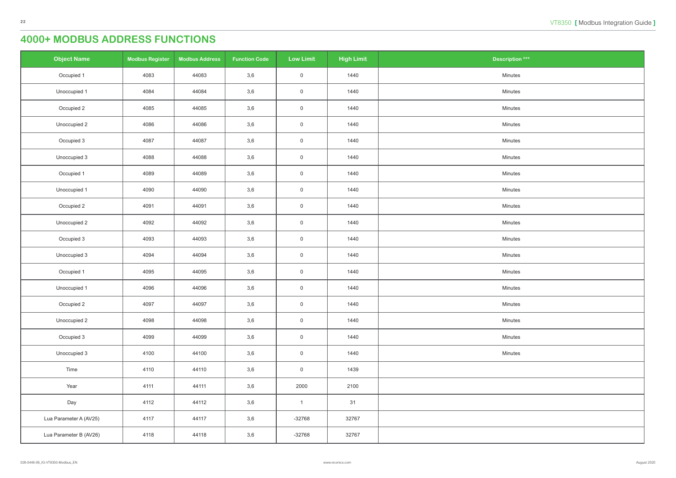| <b>Object Name</b>     | <b>Modbus Register</b> | <b>Modbus Address</b> | <b>Function Code</b> | <b>Low Limit</b>    | <b>High Limit</b> | <b>Description ***</b> |
|------------------------|------------------------|-----------------------|----------------------|---------------------|-------------------|------------------------|
| Occupied 1             | 4083                   | 44083                 | 3,6                  | $\mathsf{O}\xspace$ | 1440              | Minutes                |
| Unoccupied 1           | 4084                   | 44084                 | 3,6                  | $\mathsf{O}\xspace$ | 1440              | Minutes                |
| Occupied 2             | 4085                   | 44085                 | 3,6                  | $\overline{0}$      | 1440              | Minutes                |
| Unoccupied 2           | 4086                   | 44086                 | 3,6                  | $\mathsf{O}\xspace$ | 1440              | Minutes                |
| Occupied 3             | 4087                   | 44087                 | 3,6                  | $\overline{0}$      | 1440              | Minutes                |
| Unoccupied 3           | 4088                   | 44088                 | 3,6                  | $\overline{0}$      | 1440              | Minutes                |
| Occupied 1             | 4089                   | 44089                 | 3,6                  | $\overline{0}$      | 1440              | Minutes                |
| Unoccupied 1           | 4090                   | 44090                 | 3,6                  | $\overline{0}$      | 1440              | Minutes                |
| Occupied 2             | 4091                   | 44091                 | 3,6                  | $\mathsf{O}\xspace$ | 1440              | Minutes                |
| Unoccupied 2           | 4092                   | 44092                 | 3,6                  | $\overline{0}$      | 1440              | Minutes                |
| Occupied 3             | 4093                   | 44093                 | 3,6                  | $\mathsf{O}\xspace$ | 1440              | Minutes                |
| Unoccupied 3           | 4094                   | 44094                 | 3,6                  | $\overline{0}$      | 1440              | Minutes                |
| Occupied 1             | 4095                   | 44095                 | 3,6                  | $\overline{0}$      | 1440              | Minutes                |
| Unoccupied 1           | 4096                   | 44096                 | 3,6                  | $\mathsf{O}\xspace$ | 1440              | Minutes                |
| Occupied 2             | 4097                   | 44097                 | 3,6                  | $\overline{0}$      | 1440              | Minutes                |
| Unoccupied 2           | 4098                   | 44098                 | 3,6                  | $\overline{0}$      | 1440              | Minutes                |
| Occupied 3             | 4099                   | 44099                 | 3,6                  | $\overline{0}$      | 1440              | Minutes                |
| Unoccupied 3           | 4100                   | 44100                 | 3,6                  | $\overline{0}$      | 1440              | Minutes                |
| Time                   | 4110                   | 44110                 | 3,6                  | $\overline{0}$      | 1439              |                        |
| Year                   | 4111                   | 44111                 | 3,6                  | 2000                | 2100              |                        |
| Day                    | 4112                   | 44112                 | 3,6                  | $\overline{1}$      | 31                |                        |
| Lua Parameter A (AV25) | 4117                   | 44117                 | 3,6                  | $-32768$            | 32767             |                        |
| Lua Parameter B (AV26) | 4118                   | 44118                 | 3,6                  | $-32768$            | 32767             |                        |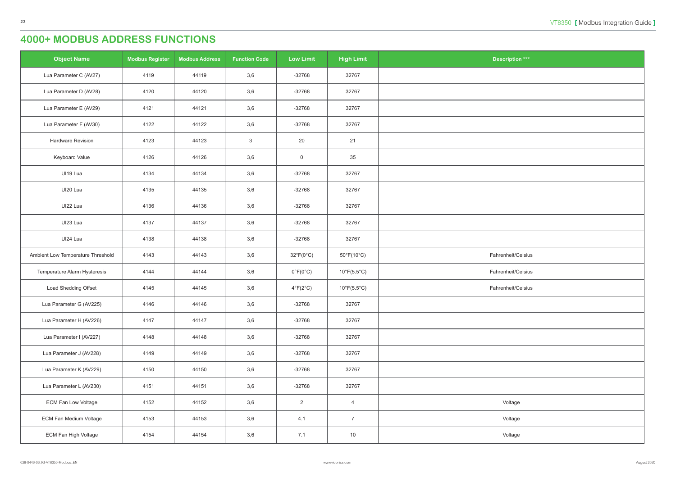| $\overline{\text{ution}}$ *** |
|-------------------------------|
|                               |
|                               |
|                               |
|                               |
|                               |
|                               |
|                               |
|                               |
|                               |
|                               |
|                               |
|                               |
| it/Celsius                    |
| it/Celsius                    |
| it/Celsius                    |
|                               |
|                               |
|                               |
|                               |
|                               |
|                               |
| age                           |
| age                           |
| age                           |
|                               |

| <b>Object Name</b>                | <b>Modbus Register</b> | <b>Modbus Address</b> | <b>Function Code</b> | <b>Low Limit</b>          | <b>High Limit</b>                | <b>Description ***</b> |
|-----------------------------------|------------------------|-----------------------|----------------------|---------------------------|----------------------------------|------------------------|
| Lua Parameter C (AV27)            | 4119                   | 44119                 | 3,6                  | $-32768$                  | 32767                            |                        |
| Lua Parameter D (AV28)            | 4120                   | 44120                 | 3,6                  | $-32768$                  | 32767                            |                        |
| Lua Parameter E (AV29)            | 4121                   | 44121                 | 3,6                  | $-32768$                  | 32767                            |                        |
| Lua Parameter F (AV30)            | 4122                   | 44122                 | 3,6                  | $-32768$                  | 32767                            |                        |
| Hardware Revision                 | 4123                   | 44123                 | $\sqrt{3}$           | 20                        | 21                               |                        |
| Keyboard Value                    | 4126                   | 44126                 | 3,6                  | $\boldsymbol{0}$          | 35                               |                        |
| UI19 Lua                          | 4134                   | 44134                 | 3,6                  | $-32768$                  | 32767                            |                        |
| UI20 Lua                          | 4135                   | 44135                 | 3,6                  | $-32768$                  | 32767                            |                        |
| UI22 Lua                          | 4136                   | 44136                 | 3,6                  | $-32768$                  | 32767                            |                        |
| UI23 Lua                          | 4137                   | 44137                 | 3,6                  | $-32768$                  | 32767                            |                        |
| UI24 Lua                          | 4138                   | 44138                 | 3,6                  | $-32768$                  | 32767                            |                        |
| Ambient Low Temperature Threshold | 4143                   | 44143                 | 3,6                  | $32^{\circ}F(0^{\circ}C)$ | $50^{\circ}$ F(10 $^{\circ}$ C)  | Fahrenheit/Celsius     |
| Temperature Alarm Hysteresis      | 4144                   | 44144                 | 3,6                  | $0^{\circ}F(0^{\circ}C)$  | $10^{\circ}$ F(5.5 $^{\circ}$ C) | Fahrenheit/Celsius     |
| Load Shedding Offset              | 4145                   | 44145                 | 3,6                  | $4^{\circ}F(2^{\circ}C)$  | $10^{\circ}F(5.5^{\circ}C)$      | Fahrenheit/Celsius     |
| Lua Parameter G (AV225)           | 4146                   | 44146                 | 3,6                  | $-32768$                  | 32767                            |                        |
| Lua Parameter H (AV226)           | 4147                   | 44147                 | 3,6                  | $-32768$                  | 32767                            |                        |
| Lua Parameter I (AV227)           | 4148                   | 44148                 | 3,6                  | $-32768$                  | 32767                            |                        |
| Lua Parameter J (AV228)           | 4149                   | 44149                 | 3,6                  | $-32768$                  | 32767                            |                        |
| Lua Parameter K (AV229)           | 4150                   | 44150                 | 3,6                  | $-32768$                  | 32767                            |                        |
| Lua Parameter L (AV230)           | 4151                   | 44151                 | 3,6                  | $-32768$                  | 32767                            |                        |
| <b>ECM Fan Low Voltage</b>        | 4152                   | 44152                 | 3,6                  | $\overline{2}$            | $\overline{4}$                   | Voltage                |
| <b>ECM Fan Medium Voltage</b>     | 4153                   | 44153                 | 3,6                  | 4.1                       | $\overline{7}$                   | Voltage                |
| ECM Fan High Voltage              | 4154                   | 44154                 | 3,6                  | 7.1                       | 10                               | Voltage                |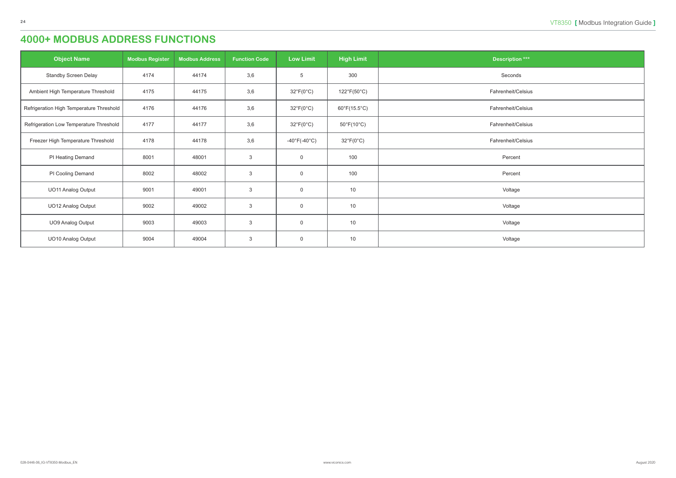| <b>Object Name</b>                       | <b>Modbus Register</b> | <b>Modbus Address</b> | <b>Function Code</b> | <b>Low Limit</b>          | <b>High Limit</b>               | <b>Description ***</b> |
|------------------------------------------|------------------------|-----------------------|----------------------|---------------------------|---------------------------------|------------------------|
| Standby Screen Delay                     | 4174                   | 44174                 | 3,6                  | $5\phantom{.0}$           | 300                             | Seconds                |
| Ambient High Temperature Threshold       | 4175                   | 44175                 | 3,6                  | $32^{\circ}F(0^{\circ}C)$ | $122^{\circ}F(50^{\circ}C)$     | Fahrenheit/Celsius     |
| Refrigeration High Temperature Threshold | 4176                   | 44176                 | 3,6                  | $32^{\circ}F(0^{\circ}C)$ | $60^{\circ}F(15.5^{\circ}C)$    | Fahrenheit/Celsius     |
| Refrigeration Low Temperature Threshold  | 4177                   | 44177                 | 3,6                  | $32^{\circ}F(0^{\circ}C)$ | $50^{\circ}$ F(10 $^{\circ}$ C) | Fahrenheit/Celsius     |
| Freezer High Temperature Threshold       | 4178                   | 44178                 | 3,6                  | -40°F(-40°C)              | $32^{\circ}F(0^{\circ}C)$       | Fahrenheit/Celsius     |
| PI Heating Demand                        | 8001                   | 48001                 | $\mathbf{3}$         | $\overline{0}$            | 100                             | Percent                |
| PI Cooling Demand                        | 8002                   | 48002                 | $\mathbf{3}$         | $\overline{0}$            | 100                             | Percent                |
| <b>UO11 Analog Output</b>                | 9001                   | 49001                 | $\mathbf{3}$         | $\mathbf 0$               | 10                              | Voltage                |
| UO12 Analog Output                       | 9002                   | 49002                 | $\mathbf{3}$         | $\mathbf 0$               | 10                              | Voltage                |
| <b>UO9 Analog Output</b>                 | 9003                   | 49003                 | $\mathbf{3}$         | $\mathbf 0$               | 10                              | Voltage                |
| UO10 Analog Output                       | 9004                   | 49004                 | $\mathbf{3}$         | $\overline{0}$            | 10                              | Voltage                |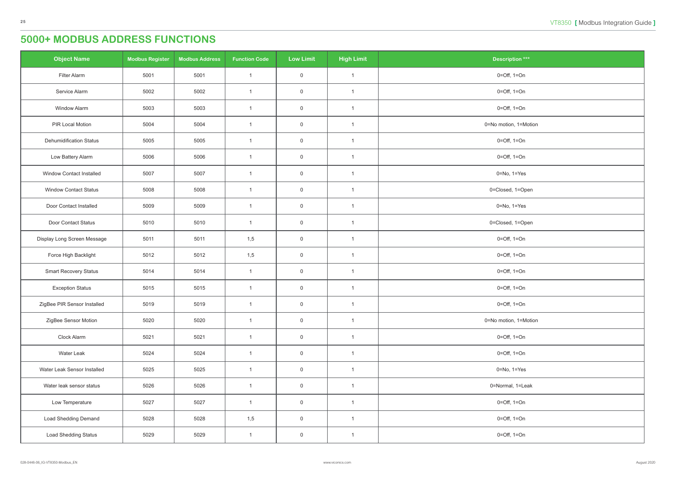<span id="page-24-0"></span>

| <b>Object Name</b>              | <b>Modbus Register</b> | <b>Modbus Address</b> | <b>Function Code</b> | <b>Low Limit</b> | <b>High Limit</b> | <b>Description ***</b>          |
|---------------------------------|------------------------|-----------------------|----------------------|------------------|-------------------|---------------------------------|
| Filter Alarm                    | 5001                   | 5001                  | $\mathbf{1}$         | $\mathsf 0$      | $\overline{1}$    | $0 = \text{Off}, 1 = \text{On}$ |
| Service Alarm                   | 5002                   | 5002                  | $\mathbf{1}$         | $\overline{0}$   | $\overline{1}$    | $0 = \text{Off}, 1 = \text{On}$ |
| <b>Window Alarm</b>             | 5003                   | 5003                  | $\mathbf{1}$         | $\overline{0}$   | $\overline{1}$    | $0 = \text{Off}, 1 = \text{On}$ |
| PIR Local Motion                | 5004                   | 5004                  | $\mathbf{1}$         | $\overline{0}$   | $\mathbf{1}$      | 0=No motion, 1=Motion           |
| <b>Dehumidification Status</b>  | 5005                   | 5005                  | $\mathbf{1}$         | $\mathbf 0$      | $\overline{1}$    | $0 = \text{Off}, 1 = \text{On}$ |
| Low Battery Alarm               | 5006                   | 5006                  | $\mathbf{1}$         | $\overline{0}$   | $\overline{1}$    | $0 = \text{Off}, 1 = \text{On}$ |
| <b>Window Contact Installed</b> | 5007                   | 5007                  | $\mathbf{1}$         | $\mathsf 0$      | $\overline{1}$    | $0 = No, 1 = Yes$               |
| <b>Window Contact Status</b>    | 5008                   | 5008                  | $\mathbf{1}$         | $\overline{0}$   | $\mathbf{1}$      | 0=Closed, 1=Open                |
| Door Contact Installed          | 5009                   | 5009                  | $\mathbf{1}$         | $\overline{0}$   | $\overline{1}$    | $0 = No, 1 = Yes$               |
| Door Contact Status             | 5010                   | 5010                  | $\mathbf{1}$         | $\mathbf 0$      | $\mathbf{1}$      | 0=Closed, 1=Open                |
| Display Long Screen Message     | 5011                   | 5011                  | 1,5                  | $\mathbf 0$      | $\overline{1}$    | $0 = \text{Off}, 1 = \text{On}$ |
| Force High Backlight            | 5012                   | 5012                  | 1,5                  | $\mathbf 0$      | $\overline{1}$    | $0 = \text{Off}, 1 = \text{On}$ |
| <b>Smart Recovery Status</b>    | 5014                   | 5014                  | $\mathbf{1}$         | $\overline{0}$   | $\overline{1}$    | $0 = \text{Off}, 1 = \text{On}$ |
| <b>Exception Status</b>         | 5015                   | 5015                  | $\mathbf{1}$         | $\overline{0}$   | $\mathbf{1}$      | $0 = \text{Off}, 1 = \text{On}$ |
| ZigBee PIR Sensor Installed     | 5019                   | 5019                  | $\mathbf{1}$         | $\mathbf 0$      | $\mathbf{1}$      | $0 = \text{Off}, 1 = \text{On}$ |
| ZigBee Sensor Motion            | 5020                   | 5020                  | $\mathbf{1}$         | $\mathsf 0$      | $\overline{1}$    | 0=No motion, 1=Motion           |
| Clock Alarm                     | 5021                   | 5021                  | $\mathbf{1}$         | $\mathbf 0$      | $\mathbf{1}$      | $0 = \text{Off}, 1 = \text{On}$ |
| Water Leak                      | 5024                   | 5024                  | $\mathbf{1}$         | $\mathbf 0$      | $\overline{1}$    | $0 = \text{Off}, 1 = \text{On}$ |
| Water Leak Sensor Installed     | 5025                   | 5025                  | $\mathbf{1}$         | $\mathsf 0$      | $\mathbf{1}$      | $0 = No, 1 = Yes$               |
| Water leak sensor status        | 5026                   | 5026                  | $\mathbf{1}$         | $\mathsf 0$      | $\mathbf{1}$      | 0=Normal, 1=Leak                |
| Low Temperature                 | 5027                   | 5027                  | $\mathbf{1}$         | $\mathsf 0$      | $\overline{1}$    | $0 = \text{Off}, 1 = \text{On}$ |
| <b>Load Shedding Demand</b>     | 5028                   | 5028                  | 1,5                  | $\mathsf 0$      | $\mathbf{1}$      | $0 = \text{Off}, 1 = \text{On}$ |
| <b>Load Shedding Status</b>     | 5029                   | 5029                  | $\mathbf{1}$         | $\overline{0}$   | $\overline{1}$    | $0 = \text{Off}, 1 = \text{On}$ |